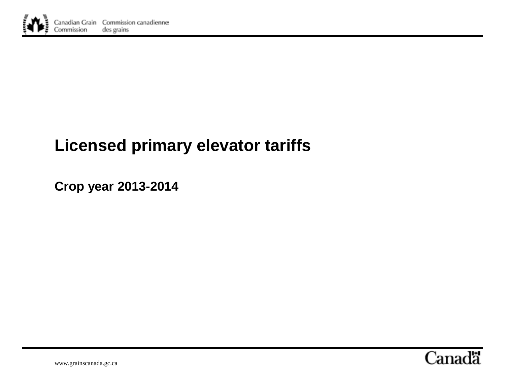

# **Licensed primary elevator tariffs**

**Crop year 2013-2014**



www.grainscanada.gc.ca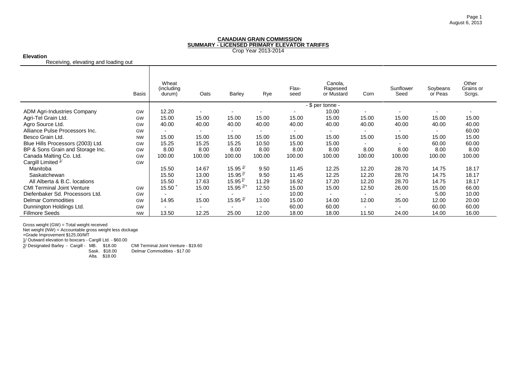Crop Year 2013-2014

#### **Elevation**

Receiving, elevating and loading out

|                                    | Basis     | Wheat<br>(including<br>durum) | Oats           | <b>Barley</b>         | Rye            | Flax-<br>seed | Canola,<br>Rapeseed<br>or Mustard | Corn                     | Sunflower<br>Seed | Soybeans<br>or Peas | Other<br>Grains or<br>Scrgs. |
|------------------------------------|-----------|-------------------------------|----------------|-----------------------|----------------|---------------|-----------------------------------|--------------------------|-------------------|---------------------|------------------------------|
|                                    |           |                               |                |                       |                |               | - \$ per tonne -                  |                          |                   |                     |                              |
| <b>ADM Agri-Industries Company</b> | <b>GW</b> | 12.20                         | $\blacksquare$ |                       |                |               | 10.00                             | $\blacksquare$           |                   |                     |                              |
| Agri-Tel Grain Ltd.                | GW        | 15.00                         | 15.00          | 15.00                 | 15.00          | 15.00         | 15.00                             | 15.00                    | 15.00             | 15.00               | 15.00                        |
| Agro Source Ltd.                   | GW        | 40.00                         | 40.00          | 40.00                 | 40.00          | 40.00         | 40.00                             | 40.00                    | 40.00             | 40.00               | 40.00                        |
| Alliance Pulse Processors Inc.     | GW        |                               |                |                       |                |               | $\blacksquare$                    |                          |                   |                     | 60.00                        |
| Besco Grain Ltd.                   | <b>NW</b> | 15.00                         | 15.00          | 15.00                 | 15.00          | 15.00         | 15.00                             | 15.00                    | 15.00             | 15.00               | 15.00                        |
| Blue Hills Processors (2003) Ltd.  | GW        | 15.25                         | 15.25          | 15.25                 | 10.50          | 15.00         | 15.00                             | $\overline{\phantom{0}}$ | ۰.                | 60.00               | 60.00                        |
| BP & Sons Grain and Storage Inc.   | GW        | 8.00                          | 8.00           | 8.00                  | 8.00           | 8.00          | 8.00                              | 8.00                     | 8.00              | 8.00                | 8.00                         |
| Canada Malting Co. Ltd.            | GW        | 100.00                        | 100.00         | 100.00                | 100.00         | 100.00        | 100.00                            | 100.00                   | 100.00            | 100.00              | 100.00                       |
| Cargill Limited $1/2$              | GW        |                               |                |                       |                |               |                                   |                          |                   |                     |                              |
| Manitoba                           |           | 15.50                         | 14.67          | 15.95 $\frac{2}{ }$   | 9.50           | 11.45         | 12.25                             | 12.20                    | 28.70             | 14.75               | 18.17                        |
| Saskatchewan                       |           | 15.50                         | 13.00          | $15.95^{\frac{2}{5}}$ | 9.50           | 11.45         | 12.25                             | 12.20                    | 28.70             | 14.75               | 18.17                        |
| All Alberta & B.C. locations       |           | 15.50                         | 17.63          | 15.95 $\frac{2}{3}$   | 11.29          | 16.92         | 17.20                             | 12.20                    | 28.70             | 14.75               | 18.17                        |
| <b>CMI Terminal Joint Venture</b>  | GW        | $15.50 +$                     | 15.00          | $15.95$ $2/+$         | 12.50          | 15.00         | 15.00                             | 12.50                    | 26.00             | 15.00               | 66.00                        |
| Diefenbaker Sd. Processors Ltd.    | <b>GW</b> |                               | $\blacksquare$ |                       |                | 10.00         | $\blacksquare$                    |                          |                   | 5.00                | 10.00                        |
| <b>Delmar Commodities</b>          | GW        | 14.95                         | 15.00          | $15.95$ $2/$          | 13.00          | 15.00         | 14.00                             | 12.00                    | 35.00             | 12.00               | 20.00                        |
| Dunnington Holdings Ltd.           | GW        | ۰.                            | $\blacksquare$ | $\blacksquare$        | $\blacksquare$ | 60.00         | 60.00                             | $\blacksquare$           |                   | 60.00               | 60.00                        |
| <b>Fillmore Seeds</b>              | <b>NW</b> | 13.50                         | 12.25          | 25.00                 | 12.00          | 18.00         | 18.00                             | 11.50                    | 24.00             | 14.00               | 16.00                        |

Gross weight (GW) = Total weight received

Net weight (NW) = Accountable gross weight less dockage

+Grade Improvement \$125.00/MT 1/ Outward elevation to boxcars - Cargill Ltd. - \$60.00

2/ Designated Barley - Cargill - MB. \$18.00 CMI Terminal Joint Venture - \$19.60 Sask. \$18.00 Delmar Commodities - \$17.00 Alta. \$18.00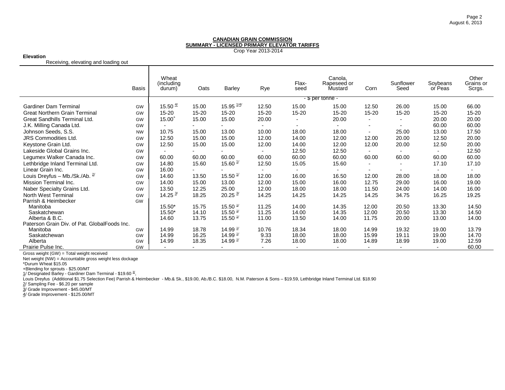Crop Year 2013-2014

#### **Elevation**

Receiving, elevating and loading out

|                                              | <b>Basis</b> | Wheat<br>(including)<br>durum) | Oats      | <b>Barley</b>         | Rye   | Flax-<br>seed  | Canola,<br>Rapeseed or<br>Mustard | Corn                     | Sunflower<br>Seed        | Soybeans<br>or Peas      | Other<br>Grains or<br>Scrgs. |
|----------------------------------------------|--------------|--------------------------------|-----------|-----------------------|-------|----------------|-----------------------------------|--------------------------|--------------------------|--------------------------|------------------------------|
|                                              |              |                                |           |                       |       |                | - \$ per tonne -                  |                          |                          |                          |                              |
| <b>Gardiner Dam Terminal</b>                 | GW           | 15.50 $\frac{4}{1}$            | 15.00     | 15.95 $\frac{1}{4}$   | 12.50 | 15.00          | 15.00                             | 12.50                    | 26.00                    | 15.00                    | 66.00                        |
| <b>Great Northern Grain Terminal</b>         | GW           | $15 - 20$                      | $15 - 20$ | 15-20                 | 15-20 | 15-20          | 15-20                             | 15-20                    | 15-20                    | $15 - 20$                | 15-20                        |
| Great Sandhills Terminal Ltd.                | GW           | $15.00^{+}$                    | 15.00     | 15.00                 | 20.00 |                | 20.00                             | $\overline{\phantom{a}}$ |                          | 20.00                    | 20.00                        |
| J.K. Milling Canada Ltd.                     | GW           |                                |           |                       |       |                |                                   | $\overline{\phantom{a}}$ | $\overline{\phantom{a}}$ | 60.00                    | 60.00                        |
| Johnson Seeds, S.S.                          | <b>NW</b>    | 10.75                          | 15.00     | 13.00                 | 10.00 | 18.00          | 18.00                             | $\overline{\phantom{a}}$ | 25.00                    | 13.00                    | 17.50                        |
| <b>JRS Commodities Ltd.</b>                  | GW           | 12.50                          | 15.00     | 15.00                 | 12.00 | 14.00          | 12.00                             | 12.00                    | 20.00                    | 12.50                    | 20.00                        |
| Keystone Grain Ltd.                          | GW           | 12.50                          | 15.00     | 15.00                 | 12.00 | 14.00          | 12.00                             | 12.00                    | 20.00                    | 12.50                    | 20.00                        |
| Lakeside Global Grains Inc.                  | GW           |                                |           |                       |       | 12.50          | 12.50                             |                          |                          | $\overline{\phantom{a}}$ | 12.50                        |
| Legumex Walker Canada Inc.                   | GW           | 60.00                          | 60.00     | 60.00                 | 60.00 | 60.00          | 60.00                             | 60.00                    | 60.00                    | 60.00                    | 60.00                        |
| Lethbridge Inland Terminal Ltd.              | GW           | 14.80                          | 15.60     | 15.60 $\frac{1}{2}$   | 12.50 | 15.05          | 15.60                             | $\overline{\phantom{a}}$ | $\overline{\phantom{a}}$ | 17.10                    | 17.10                        |
| Linear Grain Inc.                            | GW           | 16.00                          |           |                       |       |                |                                   |                          |                          |                          |                              |
| Louis Dreyfus - Mb./Sk./Ab. $\frac{2}{3}$    | GW           | 14.60                          | 13.50     | 15.50 $\frac{1}{2}$   | 12.00 | 16.00          | 16.50                             | 12.00                    | 28.00                    | 18.00                    | 18.00                        |
| Mission Terminal Inc.                        | GW           | 14.00                          | 15.00     | 13.00                 | 12.00 | 15.00          | 16.00                             | 12.75                    | 29.00                    | 16.00                    | 19.00                        |
| Naber Specialty Grains Ltd.                  | GW           | 13.50                          | 12.25     | 25.00                 | 12.00 | 18.00          | 18.00                             | 11.50                    | 24.00                    | 14.00                    | 16.00                        |
| North West Terminal                          | GW           | 14.25 $\frac{3}{2}$            | 18.25     | $20.25$ $\frac{3}{2}$ | 14.25 | 14.25          | 14.25                             | 14.25                    | 34.75                    | 16.25                    | 19.25                        |
| Parrish & Heimbecker                         | GW           |                                |           |                       |       |                |                                   |                          |                          |                          |                              |
| Manitoba                                     |              | 15.50*                         | 15.75     | 15.50 $\frac{1}{2}$   | 11.25 | 14.00          | 14.35                             | 12.00                    | 20.50                    | 13.30                    | 14.50                        |
| Saskatchewan                                 |              | $15.50*$                       | 14.10     | $15.50 \frac{1}{2}$   | 11.25 | 14.00          | 14.35                             | 12.00                    | 20.50                    | 13.30                    | 14.50                        |
| Alberta & B.C.                               |              | 14.60                          | 13.75     | 15.50 $\frac{1}{2}$   | 11.00 | 13.50          | 14.00                             | 11.75                    | 20.00                    | 13.00                    | 14.00                        |
| Paterson Grain Div. of Pat. GlobalFoods Inc. |              |                                |           |                       |       |                |                                   |                          |                          |                          |                              |
| Manitoba                                     | GW           | 14.99                          | 18.78     | 14.99 $\frac{1}{2}$   | 10.76 | 18.34          | 18.00                             | 14.99                    | 19.32                    | 19.00                    | 13.79                        |
| Saskatchewan                                 | GW           | 14.99                          | 16.25     | 14.99 $\frac{1}{2}$   | 9.33  | 18.00          | 18.00                             | 15.99                    | 19.11                    | 19.00                    | 14.70                        |
| Alberta                                      | GW           | 14.99                          | 18.35     | 14.99 $\frac{1}{2}$   | 7.26  | 18.00          | 18.00                             | 14.89                    | 18.99                    | 19.00                    | 12.59                        |
| Prairie Pulse Inc.                           | GW           |                                |           |                       |       | $\blacksquare$ | $\blacksquare$                    | $\overline{\phantom{a}}$ | $\overline{\phantom{a}}$ | $\overline{\phantom{a}}$ | 60.00                        |

Gross weight (GW) = Total weight received

Net weight (NW) = Accountable gross weight less dockage

\*Durum Wheat \$15.05

+Blending for sprouts - \$25.00/MT<br><u>1</u>/ Designated Barley - Gardiner Dam Terminal - \$19.60 <del><sup>3/</sup>,</del>

Louis Dreyfus (Additional \$1.75 Selection Fee) Parrish & Heimbecker - Mb.& Sk., \$19.00, Ab./B.C. \$18.00, N.M. Paterson & Sons – \$19.59, Lethbridge Inland Terminal Ltd. \$18.90

2/ Sampling Fee - \$6.20 per sample

3/ Grade Improvement - \$45.00/MT

4/ Grade Improvement - \$125.00/MT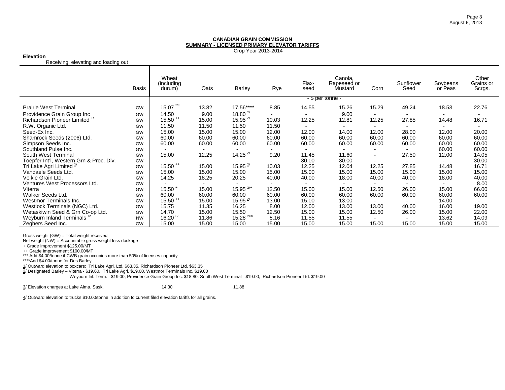Crop Year 2013-2014

#### **Elevation**

Receiving, elevating and loading out

|                                                                 | <b>Basis</b>    | Wheat<br>(including)<br>durum) | Oats                     | Barley                         | Rye           | Flax-<br>seed            | Canola,<br>Rapeseed or<br>Mustard | Corn  | Sunflower<br>Seed        | Soybeans<br>or Peas      | Other<br>Grains or<br>Scrgs. |
|-----------------------------------------------------------------|-----------------|--------------------------------|--------------------------|--------------------------------|---------------|--------------------------|-----------------------------------|-------|--------------------------|--------------------------|------------------------------|
|                                                                 |                 |                                |                          |                                |               |                          | - \$ per tonne -                  |       |                          |                          |                              |
| <b>Prairie West Terminal</b>                                    | GW              | 15.07                          | 13.82                    | 17.56****                      | 8.85          | 14.55                    | 15.26                             | 15.29 | 49.24                    | 18.53                    | 22.76                        |
| Providence Grain Group Inc                                      | GW              | 14.50                          | 9.00                     | 18.80 $\frac{2}{3}$            |               | $\blacksquare$           | 9.00                              |       | $\blacksquare$           | $\overline{\phantom{a}}$ | ٠                            |
| Richardson Pioneer Limited <sup>1/</sup>                        | GW              | $15.50$ **                     | 15.00                    | 15.95 $^{2/2}$                 | 10.03         | 12.25                    | 12.81                             | 12.25 | 27.85                    | 14.48                    | 16.71                        |
| R.W. Organic Ltd.                                               | GW              | 11.50                          | 11.50                    | 11.50                          | 11.50         | $\overline{\phantom{0}}$ | $\overline{\phantom{0}}$          |       | $\overline{\phantom{0}}$ | $\overline{\phantom{a}}$ | $\blacksquare$               |
| Seed-Ex Inc.                                                    | GW              | 15.00                          | 15.00                    | 15.00                          | 12.00         | 12.00                    | 14.00                             | 12.00 | 28.00                    | 12.00                    | 20.00                        |
| Shamrock Seeds (2006) Ltd.                                      | GW              | 60.00                          | 60.00                    | 60.00                          | 60.00         | 60.00                    | 60.00                             | 60.00 | 60.00                    | 60.00                    | 60.00                        |
| Simpson Seeds Inc.                                              | GW              | 60.00                          | 60.00                    | 60.00                          | 60.00         | 60.00                    | 60.00                             | 60.00 | 60.00                    | 60.00                    | 60.00                        |
| Southland Pulse Inc.                                            | GW              |                                |                          | $\blacksquare$                 |               |                          |                                   |       |                          | 60.00                    | 60.00                        |
| South West Terminal                                             | GW              | 15.00                          | 12.25                    | 14.25 $\frac{2}{3}$            | 9.20          | 11.45                    | 11.60                             |       | 27.50                    | 12.00                    | 14.05                        |
| Toepfer Int'l, Western Grn & Proc. Div.                         | GW              |                                | $\overline{\phantom{a}}$ |                                |               | 30.00                    | 30.00                             |       |                          |                          | 30.00                        |
| Tri Lake Agri Limited $\frac{1}{2}$                             | GW              | $15.50$ $^{++}$                | 15.00                    | 15.95 $\frac{27}{1}$           | 10.03         | 12.25                    | 12.04                             | 12.25 | 27.85                    | 14.48                    | 16.71                        |
| Vandaele Seeds Ltd.                                             | GW              | 15.00                          | 15.00                    | 15.00                          | 15.00         | 15.00                    | 15.00                             | 15.00 | 15.00                    | 15.00                    | 15.00                        |
| Veikle Grain Ltd.                                               | GW              | 14.25                          | 18.25                    | 20.25                          | 40.00         | 40.00                    | 18.00                             | 40.00 | 40.00                    | 18.00                    | 40.00                        |
| Ventures West Processors Ltd.                                   | GW              |                                | $\overline{\phantom{a}}$ |                                |               | $\overline{\phantom{0}}$ |                                   |       | $\overline{\phantom{0}}$ |                          | 8.00                         |
| Viterra                                                         | GW              | $15.50 +$                      | 15.00                    | 15.95 $\frac{2}{1}$            | 12.50         | 15.00                    | 15.00                             | 12.50 | 26.00                    | 15.00                    | 66.00                        |
| Walker Seeds Ltd.                                               | GW              | 60.00                          | 60.00                    | 60.00                          | 60.00         | 60.00                    | 60.00                             | 60.00 | 60.00                    | 60.00                    | 60.00                        |
| Westmor Terminals Inc.                                          | GW              | $15.50$ $^{++}$                | 15.00                    | 15.95 $\frac{27}{1}$           | 13.00         | 15.00                    | 13.00                             |       | $\overline{\phantom{a}}$ | 14.00                    |                              |
| Westlock Terminals (NGC) Ltd.                                   | GW              | 15.75<br>14.70                 | 11.35                    | 16.25                          | 8.00          | 12.00                    | 13.00                             | 13.00 | 40.00                    | 16.00                    | 19.00                        |
| Wetaskiwin Seed & Grn Co-op Ltd.<br>Weyburn Inland Terminals 4/ | GW              | 16.20 $\frac{3}{2}$            | 15.00<br>11.86           | 15.50<br>15.28 $\frac{2/3}{3}$ | 12.50<br>8.16 | 15.00<br>11.55           | 15.00<br>11.55                    | 12.50 | 26.00                    | 15.00<br>13.62           | 22.00                        |
| Zeghers Seed Inc.                                               | <b>NW</b><br>GW | 15.00                          | 15.00                    | 15.00                          | 15.00         | 15.00                    | 15.00                             | 15.00 | $\blacksquare$<br>15.00  | 15.00                    | 14.09<br>15.00               |
|                                                                 |                 |                                |                          |                                |               |                          |                                   |       |                          |                          |                              |

Gross weight (GW) = Total weight received

Net weight (NW) = Accountable gross weight less dockage

+ Grade Improvement \$125.00/MT

++ Grade Improvement \$100.00/MT \*\*\* Add \$4.00/tonne if CWB grain occupies more than 50% of licenses capacity

\*\*\*\*Add \$4.00/tonne for Des Barley

1/ Outward elevation to boxcars: Tri Lake Agri. Ltd. \$63.35, Richardson Pioneer Ltd. \$63.35

2/ Designated Barley – Viterra - \$19.60, Tri Lake Agri. \$19.00, Westmor Terminals Inc. \$19.00

Weyburn Inl. Term. - \$19.00, Providence Grain Group Inc. \$18.80, South West Terminal - \$19.00, Richardson Pioneer Ltd. \$19.00

 $\underline{3}$ / Elevation charges at Lake Alma, Sask.  $14.30$  . 14.30  $11.88$ 

4/ Outward elevation to trucks \$10.00/tonne in addition to current filed elevation tariffs for all grains.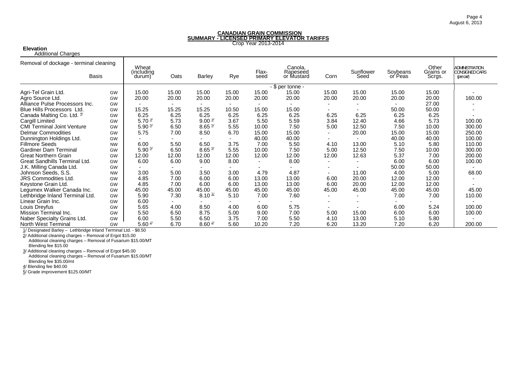Crop Year 2013-2014

**Elevation** Additional Charges

| Additional Unarges                     |           |                      |                          |                          |                          |                |                     |                          |           |          |                    |                                                |
|----------------------------------------|-----------|----------------------|--------------------------|--------------------------|--------------------------|----------------|---------------------|--------------------------|-----------|----------|--------------------|------------------------------------------------|
| Removal of dockage - terminal cleaning |           | Wheat<br>(including  |                          |                          |                          | Flax-          | Canola,<br>Rapeseed |                          | Sunflower | Soybeans | Other<br>Grains or | <b>ADMINISTRATION</b><br><b>CONSIGNED CARS</b> |
|                                        | Basis     | durum)               | Oats                     | Barley                   | Rye                      | seed           | or Mustard          | Corn                     | Seed      | or Peas  | Scrgs.             | (percar)                                       |
|                                        |           |                      |                          |                          |                          |                | - \$ per tonne -    |                          |           |          |                    |                                                |
| Agri-Tel Grain Ltd.                    | GW        | 15.00                | 15.00                    | 15.00                    | 15.00                    | 15.00          | 15.00               | 15.00                    | 15.00     | 15.00    | 15.00              |                                                |
| Agro Source Ltd.                       | GW        | 20.00                | 20.00                    | 20.00                    | 20.00                    | 20.00          | 20.00               | 20.00                    | 20.00     | 20.00    | 20.00              | 160.00                                         |
| Alliance Pulse Processors Inc.         | GW        |                      | $\overline{\phantom{0}}$ | $\overline{\phantom{a}}$ | $\overline{\phantom{a}}$ |                |                     |                          |           |          | 27.00              |                                                |
| Blue Hills Processors Ltd.             | GW        | 15.25                | 15.25                    | 15.25                    | 10.50                    | 15.00          | 15.00               |                          |           | 50.00    | 50.00              |                                                |
| Canada Malting Co. Ltd. 4              | GW        | 6.25                 | 6.25                     | 6.25                     | 6.25                     | 6.25           | 6.25                | 6.25                     | 6.25      | 6.25     | 6.25               |                                                |
| Cargill Limited                        | GW        | 5.70 $\frac{3}{2}$   | 5.73                     | $9.00 \frac{3}{2}$       | 3.67                     | 5.50           | 5.59                | 3.84                     | 12.40     | 4.66     | 5.73               | 100.00                                         |
| <b>CMI Terminal Joint Venture</b>      | GW        | $5.90 \frac{5}{2}$   | 6.50                     | $8.65 \frac{5}{2}$       | 5.55                     | 10.00          | 7.50                | 5.00                     | 12.50     | 7.50     | 10.00              | 300.00                                         |
| <b>Delmar Commodities</b>              | GW        | 5.75                 | 7.00                     | 8.50                     | 6.70                     | 15.00          | 15.00               |                          | 20.00     | 15.00    | 15.00              | 250.00                                         |
| Dunnington Holdings Ltd.               | GW        |                      |                          |                          |                          | 40.00          | 40.00               |                          |           | 40.00    | 40.00              | 100.00                                         |
| <b>Fillmore Seeds</b>                  | <b>NW</b> | 6.00                 | 5.50                     | 6.50                     | 3.75                     | 7.00           | 5.50                | 4.10                     | 13.00     | 5.10     | 5.80               | 110.00                                         |
| <b>Gardiner Dam Terminal</b>           | GW        | $5.90 \frac{5}{2}$   | 6.50                     | $8.65 \frac{5}{2}$       | 5.55                     | 10.00          | 7.50                | 5.00                     | 12.50     | 7.50     | 10.00              | 300.00                                         |
| <b>Great Northern Grain</b>            | GW        | 12.00                | 12.00                    | 12.00                    | 12.00                    | 12.00          | 12.00               | 12.00                    | 12.63     | 5.37     | 7.00               | 200.00                                         |
| Great Sandhills Terminal Ltd.          | GW        | 6.00                 | 6.00                     | 9.00                     | 8.00                     | $\blacksquare$ | 8.00                | $\overline{\phantom{0}}$ |           | 6.00     | 6.00               | 100.00                                         |
| J.K. Milling Canada Ltd.               | GW        |                      |                          |                          |                          |                |                     |                          |           | 50.00    | 50.00              |                                                |
| Johnson Seeds, S.S.                    | <b>NW</b> | 3.00                 | 5.00                     | 3.50                     | 3.00                     | 4.79           | 4.87                |                          | 11.00     | 4.00     | 5.00               | 68.00                                          |
| <b>JRS Commodities Ltd.</b>            | GW        | 4.85                 | 7.00                     | 6.00                     | 6.00                     | 13.00          | 13.00               | 6.00                     | 20.00     | 12.00    | 12.00              |                                                |
| Keystone Grain Ltd.                    | GW        | 4.85                 | 7.00                     | 6.00                     | 6.00                     | 13.00          | 13.00               | 6.00                     | 20.00     | 12.00    | 12.00              |                                                |
| Legumex Walker Canada Inc.             | GW        | 45.00                | 45.00                    | 45.00                    | 45.00                    | 45.00          | 45.00               | 45.00                    | 45.00     | 45.00    | 45.00              | 45.00                                          |
| Lethbridge Inland Terminal Ltd.        | GW        | 5.90                 | 7.30                     | $8.10 \frac{1}{1}$       | 5.10                     | 7.00           | 7.60                | $\overline{\phantom{0}}$ |           | 7.00     | 7.00               | 110.00                                         |
| Linear Grain Inc.                      | GW        | 6.00                 |                          |                          |                          |                |                     |                          |           |          |                    |                                                |
| Louis Dreyfus                          | GW        | 5.65                 | 4.00                     | 8.50                     | 4.00                     | 6.00           | 5.75                |                          |           | 6.00     | 5.24               | 100.00                                         |
| Mission Terminal Inc.                  | GW        | 5.50                 | 6.50                     | 8.75                     | 5.00                     | 9.00           | 7.00                | 5.00                     | 15.00     | 6.00     | 6.00               | 100.00                                         |
| Naber Specialty Grains Ltd.            | GW        | 6.00                 | 5.50                     | 6.50                     | 3.75                     | 7.00           | 5.50                | 4.10                     | 13.00     | 5.10     | 5.80               |                                                |
| North West Terminal                    | GW        | $5.60$ $\frac{2}{3}$ | 6.70                     | $8.60 \frac{2}{3}$       | 5.60                     | 10.20          | 7.20                | 6.20                     | 13.20     | 7.20     | 6.20               | 200.00                                         |

1/ Designated Barley – Lethbridge Inland Terminal Ltd. - \$8.50

2/ Additional cleaning charges – Removal of Ergot \$15.00 Additional cleaning charges – Removal of Fusarium \$15.00/MT

Blending fee \$15.00 3/ Additional cleaning charges – Removal of Ergot \$45.00

Additional cleaning charges – Removal of Fusarium \$15.00/MT Blending fee \$35.00/mt

4/ Blending fee \$40.00

5/ Grade improvement \$125.00/MT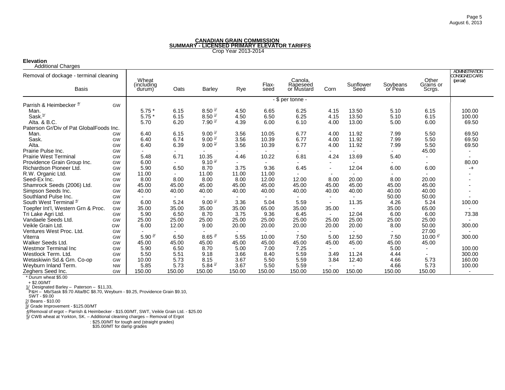#### **Elevation**

| <b>Additional Charges</b> |  |
|---------------------------|--|
|---------------------------|--|

| Removal of dockage - terminal cleaning  |           | Wheat<br>including) |                |                          |                          |                          | Canola,                |                          |                   |                     | Other               | <b>ADMINISTRATION</b><br><b>CONSIGNED CARS</b><br>$(percar)$ |
|-----------------------------------------|-----------|---------------------|----------------|--------------------------|--------------------------|--------------------------|------------------------|--------------------------|-------------------|---------------------|---------------------|--------------------------------------------------------------|
| <b>Basis</b>                            |           | durum)              | Oats           | <b>Barley</b>            | Rye                      | Flax-<br>seed            | Rapeseed<br>or Mustard | Corn                     | Sunflower<br>Seed | Soybeans<br>or Peas | Grains or<br>Scrgs. |                                                              |
|                                         |           |                     |                |                          |                          |                          | - \$ per tonne -       |                          |                   |                     |                     |                                                              |
| Parrish & Heimbecker <sup>4/</sup>      | GW        |                     |                |                          |                          |                          |                        |                          |                   |                     |                     |                                                              |
| Man.                                    |           | $5.75*$             | 6.15           | $8.50 \frac{1}{2}$       | 4.50                     | 6.65                     | 6.25                   | 4.15                     | 13.50             | 5.10                | 6.15                | 100.00                                                       |
| Sask. <sup>5/</sup>                     |           | $5.75*$             | 6.15           | $8.50 \frac{1}{1}$       | 4.50                     | 6.50                     | 6.25                   | 4.15                     | 13.50             | 5.10                | 6.15                | 100.00                                                       |
| Alta, & B.C.                            |           | 5.70                | 6.20           | $7.90 \frac{1}{1}$       | 4.39                     | 6.00                     | 6.10                   | 4.00                     | 13.00             | 5.00                | 6.00                | 69.50                                                        |
| Paterson Gr/Div of Pat GlobalFoods Inc. |           |                     |                |                          |                          |                          |                        |                          |                   |                     |                     |                                                              |
| Man.                                    | <b>GW</b> | 6.40                | 6.15           | $9.00 \frac{1}{1}$       | 3.56                     | 10.05                    | 6.77                   | 4.00                     | 11.92             | 7.99                | 5.50                | 69.50                                                        |
| Sask.                                   | GW        | 6.40                | 6.74           | $9.00 \frac{1}{1}$       | 3.56                     | 10.39                    | 6.77                   | 4.00                     | 11.92             | 7.99                | 5.50                | 69.50                                                        |
| Alta.                                   | GW        | 6.40                | 6.39           | $9.00 \frac{1}{1}$       | 3.56                     | 10.39                    | 6.77                   | 4.00                     | 11.92             | 7.99                | 5.50                | 69.50                                                        |
| Prairie Pulse Inc.                      | GW        |                     |                | $\overline{\phantom{0}}$ | $\overline{\phantom{0}}$ |                          |                        | $\overline{\phantom{a}}$ |                   |                     | 45.00               |                                                              |
| <b>Prairie West Terminal</b>            | GW        | 5.48                | 6.71           | 10.35                    | 4.46                     | 10.22                    | 6.81                   | 4.24                     | 13.69             | 5.40                |                     |                                                              |
| Providence Grain Group Inc.             | GW        | 6.00                |                | $9.10 \frac{1}{1}$       | $\overline{\phantom{0}}$ | $\overline{\phantom{0}}$ |                        |                          |                   |                     |                     | 80.00                                                        |
| Richardson Pioneer Ltd.                 | GW        | 5.90                | 6.50           | 8.70                     | 3.75                     | 9.36                     | 6.45                   |                          | 12.04             | 6.00                | 6.00                | -+                                                           |
| R.W. Organic Ltd.                       | GW        | 11.00               |                | 11.00                    | 11.00                    | 11.00                    |                        |                          |                   |                     |                     |                                                              |
| Seed-Ex Inc.                            | GW        | 8.00                | 8.00           | 8.00                     | 8.00                     | 12.00                    | 12.00                  | 8.00                     | 20.00             | 8.00                | 20.00               |                                                              |
| Shamrock Seeds (2006) Ltd.              | GW        | 45.00               | 45.00          | 45.00                    | 45.00                    | 45.00                    | 45.00                  | 45.00                    | 45.00             | 45.00               | 45.00               |                                                              |
| Simpson Seeds Inc.                      | GW        | 40.00               | 40.00          | 40.00                    | 40.00                    | 40.00                    | 40.00                  | 40.00                    | 40.00             | 40.00               | 40.00               |                                                              |
| Southland Pulse Inc.                    | GW        | $\blacksquare$      | $\blacksquare$ | $\overline{\phantom{0}}$ | $\overline{\phantom{a}}$ | $\sim$                   |                        | $\overline{\phantom{0}}$ | $\sim$            | 50.00               | 50.00               |                                                              |
| South West Terminal <sup>4/</sup>       | GW        | 6.00                | 5.24           | $9.00 \frac{1}{1}$       | 3.36                     | 5.04                     | 5.59                   | $\blacksquare$           | 11.35             | 4.26                | 5.24                | 100.00                                                       |
| Toepfer Int'l, Western Grn & Proc.      | GW        | 35.00               | 35.00          | 35.00                    | 35.00                    | 65.00                    | 35.00                  | 35.00                    | $\sim$            | 35.00               | 65.00               |                                                              |
| Tri Lake Agri Ltd                       | GW        | 5.90                | 6.50           | 8.70                     | 3.75                     | 9.36                     | 6.45                   | $\blacksquare$           | 12.04             | 6.00                | 6.00                | 73.38                                                        |
| Vandaele Seeds Ltd.                     | GW        | 25.00               | 25.00          | 25.00                    | 25.00                    | 25.00                    | 25.00                  | 25.00                    | 25.00             | 25.00               | 25.00               |                                                              |
| Veikle Grain Ltd.                       | <b>GW</b> | 6.00                | 12.00          | 9.00                     | 20.00                    | 20.00                    | 20.00                  | 20.00                    | 20.00             | 8.00                | 50.00               | 300.00                                                       |
| Ventures West Proc. Ltd.                | <b>GW</b> |                     |                |                          | $\overline{\phantom{a}}$ |                          |                        |                          |                   |                     | 27.00               |                                                              |
| Viterra                                 | GW        | 5.90 $\frac{3}{2}$  | 6.50           | $8.65 \frac{3}{2}$       | 5.55                     | 10.00                    | 7.50                   | 5.00                     | 12.50             | 7.50                | 10.00 $\frac{2}{3}$ | 300.00                                                       |
| Walker Seeds Ltd.                       | GW        | 45.00               | 45.00          | 45.00                    | 45.00                    | 45.00                    | 45.00                  | 45.00                    | 45.00             | 45.00               | 45.00               |                                                              |
| <b>Westmor Terminal Inc.</b>            | GW        | 5.90                | 6.50           | 8.70                     | 5.00                     | 7.00                     | 7.25                   |                          |                   | 5.00                | $\blacksquare$      | 100.00                                                       |
| Westlock Term. Ltd.                     | GW        | 5.50                | 5.51           | 9.18                     | 3.66                     | 8.40                     | 5.59                   | 3.49                     | 11.24             | 4.44                |                     | 300.00                                                       |
| Wetaskiwin Sd.& Grn. Co-op              | GW        | 10.00               | 5.73           | 8.15                     | 3.67                     | 5.50                     | 5.59                   | 3.84                     | 12.40             | 4.66                | 5.73                | 160.00                                                       |
| Weyburn Inland Term.                    | <b>NW</b> | 5.85                | 5.73           | 5.84 $^{1/2}$            | 3.67                     | 5.50                     | 5.59                   |                          |                   | 4.66                | 5.73                | 100.00                                                       |
| Zeghers Seed Inc.                       | GW        | 150.00              | 150.00         | 150.00                   | 150.00                   | 150.00                   | 150.00                 | 150.00                   | 150.00            | 150.00              | 150.00              | $\blacksquare$                                               |

\* Durum wheat \$5.00

+ \$2.00/MT

1/ Designated Barley – Paterson – \$11,33,<br>「P&H – Mb/Sask \$9.70 Alta/BC \$8.70, Weyburn - \$9.25, Providence Grain \$9.10,<br>「SWT - \$9.00

 2/ Beans - \$10.00 3/ Grade Improvement - \$125.00/MT

4/Removal of ergot – Parrish & Heimbecker - \$15.00/MT, SWT, Veikle Grain Ltd. - \$25.00

5/ CWB wheat at Yorkton, SK. – Additional cleaning charges – Removal of Ergot

: \$25.00/MT for tough and (straight grades)

\$35.00/MT for damp grades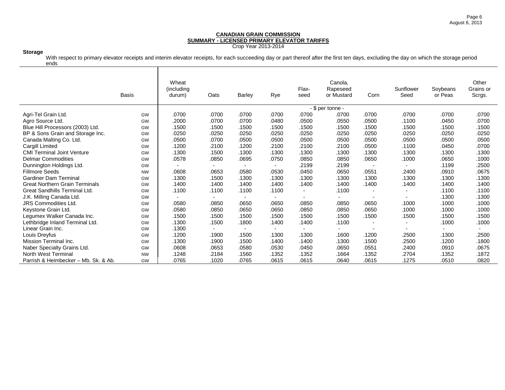## **Storage**

With respect to primary elevator receipts and interim elevator receipts, for each succeeding day or part thereof after the first ten days, excluding the day on which the storage period ends

|                                       | <b>Basis</b> | Wheat<br>(including<br>durum) | Oats           | <b>Barley</b>            | Rye   | Flax-<br>seed            | Canola.<br>Rapeseed<br>or Mustard | Corn                     | Sunflower<br>Seed | Soybeans<br>or Peas | Other<br>Grains or<br>Scrgs. |
|---------------------------------------|--------------|-------------------------------|----------------|--------------------------|-------|--------------------------|-----------------------------------|--------------------------|-------------------|---------------------|------------------------------|
|                                       |              |                               |                |                          |       |                          | - \$ per tonne -                  |                          |                   |                     |                              |
| Agri-Tel Grain Ltd.                   | GW           | .0700                         | .0700          | .0700                    | .0700 | .0700                    | .0700                             | .0700                    | .0700             | .0700               | .0700                        |
| Agro Source Ltd.                      | GW           | .2000                         | .0700          | .0700                    | .0480 | .0500                    | .0550                             | .0500                    | .1100             | .0450               | .0700                        |
| Blue Hill Processors (2003) Ltd.      | GW           | .1500                         | .1500          | .1500                    | .1500 | .1500                    | .1500                             | .1500                    | .1500             | .1500               | .1500                        |
| BP & Sons Grain and Storage Inc.      | GW           | .0250                         | .0250          | .0250                    | .0250 | .0250                    | .0250                             | .0250                    | .0250             | .0250               | .0250                        |
| Canada Malting Co. Ltd.               | GW           | .0500                         | .0700          | .0500                    | .0500 | .0500                    | .0500                             | .0500                    | .0500             | .0500               | .0500                        |
| Cargill Limited                       | GW           | .1200                         | .2100          | .1200                    | .2100 | .2100                    | .2100                             | .0500                    | .1100             | .0450               | .0700                        |
| <b>CMI Terminal Joint Venture</b>     | GW           | .1300                         | .1500          | .1300                    | .1300 | .1300                    | .1300                             | .1300                    | .1300             | .1300               | .1300                        |
| <b>Delmar Commodities</b>             | GW           | .0578                         | .0850          | .0695                    | .0750 | .0850                    | .0850                             | .0650                    | .1000             | .0650               | .1000                        |
| Dunnington Holdings Ltd.              | GW           |                               | $\blacksquare$ | $\overline{\phantom{a}}$ |       | .2199                    | .2199                             | $\overline{\phantom{a}}$ |                   | .1199               | .2500                        |
| <b>Fillmore Seeds</b>                 | <b>NW</b>    | .0608                         | .0653          | .0580                    | .0530 | .0450                    | .0650                             | .0551                    | .2400             | .0910               | .0675                        |
| <b>Gardiner Dam Terminal</b>          | GW           | .1300                         | .1500          | .1300                    | .1300 | .1300                    | .1300                             | .1300                    | .1300             | .1300               | .1300                        |
| <b>Great Northern Grain Terminals</b> | GW           | .1400                         | .1400          | .1400                    | .1400 | .1400                    | .1400                             | .1400                    | .1400             | .1400               | .1400                        |
| <b>Great Sandhills Terminal Ltd.</b>  | GW           | .1100                         | .1100          | .1100                    | .1100 | $\blacksquare$           | .1100                             | $\overline{\phantom{a}}$ |                   | .1100               | .1100                        |
| J.K. Milling Canada Ltd.              | GW           |                               | $\blacksquare$ | $\overline{\phantom{0}}$ |       | $\overline{\phantom{a}}$ |                                   | $\overline{\phantom{a}}$ |                   | .1300               | .1300                        |
| <b>JRS Commodities Ltd.</b>           | GW           | .0580                         | .0850          | .0650                    | .0650 | .0850                    | .0850                             | .0650                    | .1000             | .1000               | .1000                        |
| Keystone Grain Ltd.                   | GW           | .0580                         | .0850          | .0650                    | .0650 | .0850                    | .0850                             | .0650                    | .1000             | .1000               | .1000                        |
| Legumex Walker Canada Inc.            | GW           | .1500                         | .1500          | .1500                    | .1500 | .1500                    | .1500                             | .1500                    | .1500             | .1500               | .1500                        |
| Lethbridge Inland Terminal Ltd.       | GW           | .1300                         | .1500          | .1800                    | .1400 | .1400                    | .1100                             | $\blacksquare$           |                   | .1000               | .1000                        |
| Linear Grain Inc.                     | GW           | .1300                         | $\blacksquare$ | $\sim$                   |       | $\sim$                   |                                   | $\overline{\phantom{a}}$ |                   |                     |                              |
| Louis Dreyfus                         | GW           | .1200                         | .1900          | .1500                    | .1300 | .1300                    | .1600                             | .1200                    | .2500             | .1300               | .2500                        |
| Mission Terminal Inc.                 | GW           | .1300                         | .1900          | .1500                    | .1400 | .1400                    | .1300                             | .1500                    | .2500             | .1200               | .1800                        |
| Naber Specialty Grains Ltd.           | GW           | .0608                         | .0653          | .0580                    | .0530 | .0450                    | .0650                             | .0551                    | .2400             | .0910               | .0675                        |
| North West Terminal                   | <b>NW</b>    | .1248                         | .2184          | .1560                    | .1352 | .1352                    | .1664                             | .1352                    | .2704             | .1352               | .1872                        |
| Parrish & Heimbecker - Mb. Sk. & Ab.  | GW           | .0765                         | .1020          | .0765                    | .0615 | .0615                    | .0640                             | .0615                    | .1275             | .0510               | .0820                        |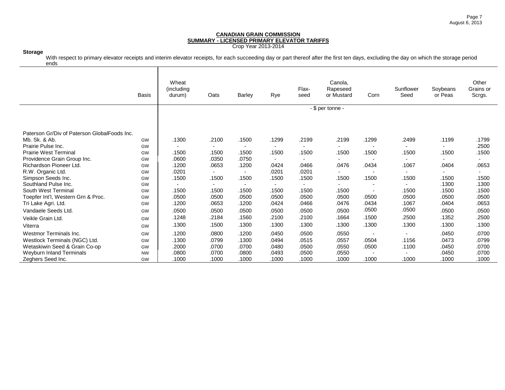## **Storage**

With respect to primary elevator receipts and interim elevator receipts, for each succeeding day or part thereof after the first ten days, excluding the day on which the storage period ends

|                                              | <b>Basis</b> | Wheat<br>(including<br>durum) | Oats                     | <b>Barley</b>            | Rye   | Flax-<br>seed            | Canola,<br>Rapeseed<br>or Mustard | Corn                     | Sunflower<br>Seed | Soybeans<br>or Peas | Other<br>Grains or<br>Scrgs. |
|----------------------------------------------|--------------|-------------------------------|--------------------------|--------------------------|-------|--------------------------|-----------------------------------|--------------------------|-------------------|---------------------|------------------------------|
|                                              |              |                               |                          |                          |       |                          | - \$ per tonne -                  |                          |                   |                     |                              |
|                                              |              |                               |                          |                          |       |                          |                                   |                          |                   |                     |                              |
| Paterson Gr/Div of Paterson GlobalFoods Inc. |              |                               |                          |                          |       |                          |                                   |                          |                   |                     |                              |
| Mb. Sk. & Ab.                                | GW           | .1300                         | .2100                    | .1500                    | .1299 | .2199                    | .2199                             | .1299                    | .2499             | .1199               | .1799                        |
| Prairie Pulse Inc.                           | GW           |                               | ٠                        | $\overline{\phantom{a}}$ |       | $\overline{\phantom{a}}$ |                                   | $\overline{\phantom{a}}$ |                   | $\blacksquare$      | .2500                        |
| <b>Prairie West Terminal</b>                 | GW           | .1500                         | .1500                    | .1500                    | .1500 | .1500                    | .1500                             | .1500                    | .1500             | .1500               | .1500                        |
| Providence Grain Group Inc.                  | GW           | .0600                         | .0350                    | .0750                    |       | $\overline{\phantom{a}}$ |                                   | $\overline{\phantom{a}}$ |                   | $\blacksquare$      |                              |
| Richardson Pioneer Ltd.                      | GW           | .1200                         | .0653                    | .1200                    | .0424 | .0466                    | .0476                             | .0434                    | .1067             | .0404               | .0653                        |
| R.W. Organic Ltd.                            | GW           | .0201                         | $\overline{\phantom{a}}$ | $\blacksquare$           | .0201 | .0201                    |                                   |                          |                   | $\blacksquare$      |                              |
| Simpson Seeds Inc.                           | GW           | .1500                         | .1500                    | .1500                    | .1500 | .1500                    | .1500                             | .1500                    | .1500             | .1500               | .1500                        |
| Southland Pulse Inc.                         | GW           |                               | ۰.                       | $\overline{\phantom{a}}$ |       | $\sim$                   |                                   | $\overline{\phantom{a}}$ |                   | .1300               | .1300                        |
| South West Terminal                          | GW           | .1500                         | .1500                    | .1500                    | .1500 | .1500                    | .1500                             | $\blacksquare$           | .1500             | .1500               | .1500                        |
| Toepfer Int'l, Western Grn & Proc.           | GW           | .0500                         | .0500                    | .0500                    | .0500 | .0500                    | .0500                             | .0500                    | .0500             | .0500               | .0500                        |
| Tri Lake Agri. Ltd.                          | GW           | .1200                         | .0653                    | .1200                    | .0424 | .0466                    | .0476                             | .0434                    | .1067             | .0404               | .0653                        |
| Vandaele Seeds Ltd.                          | GW           | .0500                         | .0500                    | .0500                    | .0500 | .0500                    | .0500                             | .0500                    | .0500             | .0500               | .0500                        |
| Veikle Grain Ltd.                            | GW           | .1248                         | .2184                    | .1560                    | .2100 | .2100                    | .1664                             | .1500                    | .2500             | .1352               | .2500                        |
| Viterra                                      | GW           | .1300                         | .1500                    | .1300                    | .1300 | .1300                    | .1300                             | .1300                    | .1300             | .1300               | .1300                        |
| <b>Westmor Terminals Inc.</b>                | GW           | .1200                         | .0800                    | .1200                    | .0450 | .0500                    | .0550                             |                          |                   | .0450               | .0700                        |
| Westlock Terminals (NGC) Ltd.                | GW           | .1300                         | .0799                    | .1300                    | .0494 | .0515                    | .0557                             | .0504                    | .1156             | .0473               | .0799                        |
| Wetaskiwin Seed & Grain Co-op                | GW           | .2000                         | .0700                    | .0700                    | .0480 | .0500                    | .0550                             | .0500                    | .1100             | .0450               | .0700                        |
| <b>Weyburn Inland Terminals</b>              | <b>NW</b>    | .0800                         | .0700                    | .0800                    | .0493 | .0500                    | .0550                             |                          |                   | .0450               | .0700                        |
| Zeghers Seed Inc.                            | GW           | .1000                         | .1000                    | .1000                    | .1000 | .1000                    | .1000                             | .1000                    | .1000             | .1000               | .1000                        |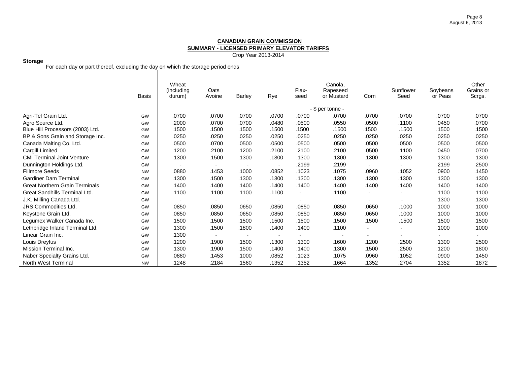Crop Year 2013-2014

#### **Storage**

For each day or part thereof, excluding the day on which the storage period ends

|                                       | <b>Basis</b> | Wheat<br>(including<br>durum) | Oats<br>Avoine           | Barley                   | Rye                      | Flax-<br>seed            | Canola.<br>Rapeseed<br>or Mustard | Corn                     | Sunflower<br>Seed | Soybeans<br>or Peas | Other<br>Grains or<br>Scrgs. |
|---------------------------------------|--------------|-------------------------------|--------------------------|--------------------------|--------------------------|--------------------------|-----------------------------------|--------------------------|-------------------|---------------------|------------------------------|
|                                       |              |                               |                          |                          |                          |                          | $-$ \$ per tonne $-$              |                          |                   |                     |                              |
| Agri-Tel Grain Ltd.                   | GW           | .0700                         | .0700                    | .0700                    | .0700                    | .0700                    | .0700                             | .0700                    | .0700             | .0700               | .0700                        |
| Agro Source Ltd.                      | GW           | .2000                         | .0700                    | .0700                    | .0480                    | .0500                    | .0550                             | .0500                    | .1100             | .0450               | .0700                        |
| Blue Hill Processors (2003) Ltd.      | GW           | .1500                         | .1500                    | .1500                    | .1500                    | .1500                    | .1500                             | .1500                    | .1500             | .1500               | .1500                        |
| BP & Sons Grain and Storage Inc.      | GW           | .0250                         | .0250                    | .0250                    | .0250                    | .0250                    | .0250                             | .0250                    | .0250             | .0250               | .0250                        |
| Canada Malting Co. Ltd.               | GW           | .0500                         | .0700                    | .0500                    | .0500                    | .0500                    | .0500                             | .0500                    | .0500             | .0500               | .0500                        |
| Cargill Limited                       | GW           | .1200                         | .2100                    | .1200                    | .2100                    | .2100                    | .2100                             | .0500                    | .1100             | .0450               | .0700                        |
| <b>CMI Terminal Joint Venture</b>     | GW           | .1300                         | .1500                    | .1300                    | .1300                    | .1300                    | .1300                             | .1300                    | .1300             | .1300               | .1300                        |
| Dunnington Holdings Ltd.              | GW           |                               | $\sim$                   | $\overline{\phantom{a}}$ | $\overline{\phantom{a}}$ | .2199                    | .2199                             | $\overline{\phantom{a}}$ |                   | .2199               | .2500                        |
| <b>Fillmore Seeds</b>                 | <b>NW</b>    | .0880                         | .1453                    | .1000                    | .0852                    | .1023                    | .1075                             | .0960                    | .1052             | .0900               | .1450                        |
| <b>Gardiner Dam Terminal</b>          | GW           | .1300                         | .1500                    | .1300                    | .1300                    | .1300                    | .1300                             | .1300                    | .1300             | .1300               | .1300                        |
| <b>Great Northern Grain Terminals</b> | GW           | .1400                         | .1400                    | .1400                    | .1400                    | .1400                    | .1400                             | .1400                    | .1400             | .1400               | .1400                        |
| <b>Great Sandhills Terminal Ltd.</b>  | GW           | .1100                         | .1100                    | .1100                    | .1100                    | $\overline{\phantom{a}}$ | .1100                             | $\blacksquare$           |                   | .1100               | .1100                        |
| J.K. Milling Canada Ltd.              | GW           | $\overline{\phantom{a}}$      | $\overline{\phantom{a}}$ | $\overline{\phantom{a}}$ | $\overline{\phantom{a}}$ | $\overline{\phantom{a}}$ | $\overline{\phantom{a}}$          | $\overline{\phantom{a}}$ |                   | .1300               | .1300                        |
| <b>JRS Commodities Ltd.</b>           | GW           | .0850                         | .0850                    | .0650                    | .0850                    | .0850                    | .0850                             | .0650                    | .1000             | .1000               | .1000                        |
| Keystone Grain Ltd.                   | GW           | .0850                         | .0850                    | .0650                    | .0850                    | .0850                    | .0850                             | .0650                    | .1000             | .1000               | .1000                        |
| Legumex Walker Canada Inc.            | GW           | .1500                         | .1500                    | .1500                    | .1500                    | .1500                    | .1500                             | .1500                    | .1500             | .1500               | .1500                        |
| Lethbridge Inland Terminal Ltd.       | GW           | .1300                         | .1500                    | .1800                    | .1400                    | .1400                    | .1100                             | $\sim$                   |                   | .1000               | .1000                        |
| Linear Grain Inc.                     | GW           | .1300                         | $\overline{\phantom{a}}$ | $\overline{\phantom{a}}$ | $\overline{\phantom{a}}$ | $\blacksquare$           | $\blacksquare$                    | $\overline{\phantom{a}}$ |                   | $\blacksquare$      | $\overline{a}$               |
| Louis Dreyfus                         | GW           | .1200                         | .1900                    | .1500                    | .1300                    | .1300                    | .1600                             | .1200                    | .2500             | .1300               | .2500                        |
| Mission Terminal Inc.                 | GW           | .1300                         | .1900                    | .1500                    | .1400                    | .1400                    | .1300                             | .1500                    | .2500             | .1200               | .1800                        |
| Naber Specialty Grains Ltd.           | GW           | .0880                         | .1453                    | .1000                    | .0852                    | .1023                    | .1075                             | .0960                    | .1052             | .0900               | .1450                        |
| North West Terminal                   | <b>NW</b>    | .1248                         | .2184                    | .1560                    | .1352                    | .1352                    | .1664                             | .1352                    | .2704             | .1352               | .1872                        |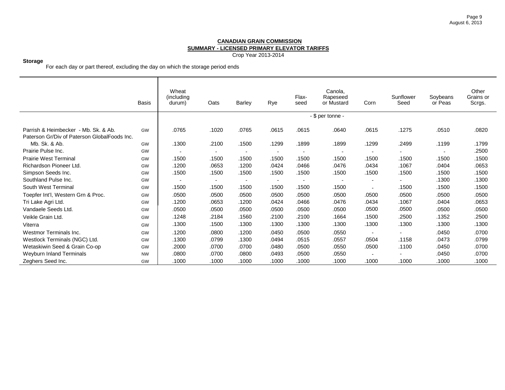Crop Year 2013-2014

# **Storage**

For each day or part thereof, excluding the day on which the storage period ends

|                                                                                      | <b>Basis</b> | Wheat<br>(including<br>durum) | Oats                     | Barley                   | Rye                      | Flax-<br>seed            | Canola,<br>Rapeseed<br>or Mustard | Corn                     | Sunflower<br>Seed        | Soybeans<br>or Peas | Other<br>Grains or<br>Scrgs. |
|--------------------------------------------------------------------------------------|--------------|-------------------------------|--------------------------|--------------------------|--------------------------|--------------------------|-----------------------------------|--------------------------|--------------------------|---------------------|------------------------------|
|                                                                                      |              |                               |                          |                          |                          |                          | - \$ per tonne -                  |                          |                          |                     |                              |
| Parrish & Heimbecker - Mb. Sk. & Ab.<br>Paterson Gr/Div of Paterson GlobalFoods Inc. | GW           | .0765                         | .1020                    | .0765                    | .0615                    | .0615                    | .0640                             | .0615                    | .1275                    | .0510               | .0820                        |
| Mb. Sk. & Ab.                                                                        | GW           | .1300                         | .2100                    | .1500                    | .1299                    | .1899                    | .1899                             | .1299                    | .2499                    | .1199               | .1799                        |
| Prairie Pulse Inc.                                                                   | GW           | $\overline{\phantom{a}}$      | $\overline{\phantom{a}}$ | $\overline{\phantom{0}}$ | $\overline{\phantom{a}}$ | $\blacksquare$           | $\blacksquare$                    |                          |                          | $\blacksquare$      | .2500                        |
| <b>Prairie West Terminal</b>                                                         | GW           | .1500                         | .1500                    | .1500                    | .1500                    | .1500                    | .1500                             | .1500                    | .1500                    | .1500               | .1500                        |
| Richardson Pioneer Ltd.                                                              | <b>GW</b>    | .1200                         | .0653                    | .1200                    | .0424                    | .0466                    | .0476                             | .0434                    | .1067                    | .0404               | .0653                        |
| Simpson Seeds Inc.                                                                   | <b>GW</b>    | .1500                         | .1500                    | .1500                    | .1500                    | .1500                    | .1500                             | .1500                    | .1500                    | .1500               | .1500                        |
| Southland Pulse Inc.                                                                 | GW           | $\overline{\phantom{a}}$      | $\overline{\phantom{a}}$ | $\overline{\phantom{a}}$ | $\overline{\phantom{a}}$ | $\overline{\phantom{a}}$ | $\blacksquare$                    | $\overline{\phantom{a}}$ | $\overline{\phantom{a}}$ | .1300               | .1300                        |
| South West Terminal                                                                  | GW           | .1500                         | .1500                    | .1500                    | .1500                    | .1500                    | .1500                             | $\overline{\phantom{a}}$ | .1500                    | .1500               | .1500                        |
| Toepfer Int'l, Western Grn & Proc.                                                   | <b>GW</b>    | .0500                         | .0500                    | .0500                    | .0500                    | .0500                    | .0500                             | .0500                    | .0500                    | .0500               | .0500                        |
| Tri Lake Agri Ltd.                                                                   | GW           | .1200                         | .0653                    | .1200                    | .0424                    | .0466                    | .0476                             | .0434                    | .1067                    | .0404               | .0653                        |
| Vandaele Seeds Ltd.                                                                  | GW           | .0500                         | .0500                    | .0500                    | .0500                    | .0500                    | .0500                             | .0500                    | .0500                    | .0500               | .0500                        |
| Veikle Grain Ltd.                                                                    | GW           | .1248                         | .2184                    | .1560                    | .2100                    | .2100                    | .1664                             | .1500                    | .2500                    | .1352               | .2500                        |
| Viterra                                                                              | GW           | .1300                         | .1500                    | .1300                    | .1300                    | .1300                    | .1300                             | .1300                    | .1300                    | .1300               | .1300                        |
| Westmor Terminals Inc.                                                               | GW           | .1200                         | .0800                    | .1200                    | .0450                    | .0500                    | .0550                             |                          |                          | .0450               | .0700                        |
| Westlock Terminals (NGC) Ltd.                                                        | GW           | .1300                         | .0799                    | .1300                    | .0494                    | .0515                    | .0557                             | .0504                    | .1158                    | .0473               | .0799                        |
| Wetaskiwin Seed & Grain Co-op                                                        | GW           | .2000                         | .0700                    | .0700                    | .0480                    | .0500                    | .0550                             | .0500                    | .1100                    | .0450               | .0700                        |
| Weyburn Inland Terminals                                                             | <b>NW</b>    | .0800                         | .0700                    | .0800                    | .0493                    | .0500                    | .0550                             |                          |                          | .0450               | .0700                        |
| Zeghers Seed Inc.                                                                    | <b>GW</b>    | .1000                         | .1000                    | .1000                    | .1000                    | .1000                    | .1000                             | .1000                    | .1000                    | .1000               | .1000                        |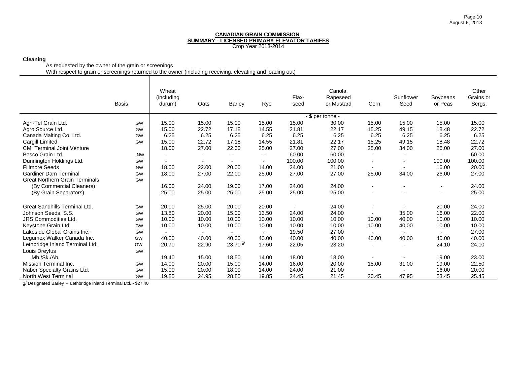# **Cleaning**

As requested by the owner of the grain or screenings

With respect to grain or screenings returned to the owner (including receiving, elevating and loading out)

|                                       | <b>Basis</b> | Wheat<br>(including<br>durum) | Oats                     | <b>Barley</b>       | Rye                      | Flax-<br>seed | Canola,<br>Rapeseed<br>or Mustard | Corn                     | Sunflower<br>Seed        | Soybeans<br>or Peas | Other<br>Grains or<br>Scrgs. |
|---------------------------------------|--------------|-------------------------------|--------------------------|---------------------|--------------------------|---------------|-----------------------------------|--------------------------|--------------------------|---------------------|------------------------------|
|                                       |              |                               |                          |                     |                          |               | - \$ per tonne -                  |                          |                          |                     |                              |
| Agri-Tel Grain Ltd.                   | GW           | 15.00                         | 15.00                    | 15.00               | 15.00                    | 15.00         | 30.00                             | 15.00                    | 15.00                    | 15.00               | 15.00                        |
| Agro Source Ltd.                      | GW           | 15.00                         | 22.72                    | 17.18               | 14.55                    | 21.81         | 22.17                             | 15.25                    | 49.15                    | 18.48               | 22.72                        |
| Canada Malting Co. Ltd.               | GW           | 6.25                          | 6.25                     | 6.25                | 6.25                     | 6.25          | 6.25                              | 6.25                     | 6.25                     | 6.25                | 6.25                         |
| <b>Cargill Limited</b>                | GW           | 15.00                         | 22.72                    | 17.18               | 14.55                    | 21.81         | 22.17                             | 15.25                    | 49.15                    | 18.48               | 22.72                        |
| <b>CMI Terminal Joint Venture</b>     |              | 18.00                         | 27.00                    | 22.00               | 25.00                    | 27.00         | 27.00                             | 25.00                    | 34.00                    | 26.00               | 27.00                        |
| Besco Grain Ltd.                      | <b>NW</b>    | $\blacksquare$                | $\overline{\phantom{a}}$ | $\blacksquare$      | $\overline{\phantom{a}}$ | 60.00         | 60.00                             | $\blacksquare$           | $\blacksquare$           |                     | 60.00                        |
| Dunnington Holdings Ltd.              | GW           |                               | $\overline{\phantom{a}}$ |                     | $\blacksquare$           | 100.00        | 100.00                            | $\overline{\phantom{a}}$ | $\overline{\phantom{a}}$ | 100.00              | 100.00                       |
| <b>Fillmore Seeds</b>                 | <b>NW</b>    | 18.00                         | 22.00                    | 20.00               | 14.00                    | 24.00         | 21.00                             | $\overline{\phantom{a}}$ | $\overline{\phantom{a}}$ | 16.00               | 20.00                        |
| <b>Gardiner Dam Terminal</b>          | GW           | 18.00                         | 27.00                    | 22.00               | 25.00                    | 27.00         | 27.00                             | 25.00                    | 34.00                    | 26.00               | 27.00                        |
| <b>Great Northern Grain Terminals</b> | GW           |                               |                          |                     |                          |               |                                   |                          |                          |                     |                              |
| (By Commercial Cleaners)              |              | 16.00                         | 24.00                    | 19.00               | 17.00                    | 24.00         | 24.00                             |                          |                          |                     | 24.00                        |
| (By Grain Separators)                 |              | 25.00                         | 25.00                    | 25.00               | 25.00                    | 25.00         | 25.00                             |                          |                          |                     | 25.00                        |
| Great Sandhills Terminal Ltd.         | GW           | 20.00                         | 25.00                    | 20.00               | 20.00                    |               | 24.00                             |                          |                          | 20.00               | 24.00                        |
| Johnson Seeds, S.S.                   | GW           | 13.80                         | 20.00                    | 15.00               | 13.50                    | 24.00         | 24.00                             |                          | 35.00                    | 16.00               | 22.00                        |
| <b>JRS Commodities Ltd.</b>           | GW           | 10.00                         | 10.00                    | 10.00               | 10.00                    | 10.00         | 10.00                             | 10.00                    | 40.00                    | 10.00               | 10.00                        |
| Keystone Grain Ltd.                   | GW           | 10.00                         | 10.00                    | 10.00               | 10.00                    | 10.00         | 10.00                             | 10.00                    | 40.00                    | 10.00               | 10.00                        |
| Lakeside Global Grains Inc.           | GW           |                               |                          |                     | $\overline{a}$           | 19.50         | 27.00                             |                          | $\overline{a}$           |                     | 27.00                        |
| Legumex Walker Canada Inc.            | GW           | 40.00                         | 40.00                    | 40.00               | 40.00                    | 40.00         | 40.00                             | 40.00                    | 40.00                    | 40.00               | 40.00                        |
| Lethbridge Inland Terminal Ltd.       | GW           | 20.70                         | 22.90                    | 23.70 $\frac{1}{2}$ | 17.60                    | 22.05         | 23.20                             | $\blacksquare$           | $\blacksquare$           | 24.10               | 24.10                        |
| Louis Dreyfus                         | GW           |                               |                          |                     |                          |               |                                   |                          |                          |                     |                              |
| Mb./Sk./Ab.                           |              | 19.40                         | 15.00                    | 18.50               | 14.00                    | 18.00         | 18.00                             |                          | ۰                        | 19.00               | 23.00                        |
| <b>Mission Terminal Inc.</b>          | GW           | 14.00                         | 20.00                    | 15.00               | 14.00                    | 16.00         | 20.00                             | 15.00                    | 31.00                    | 19.00               | 22.50                        |
| Naber Specialty Grains Ltd.           | GW           | 15.00                         | 20.00                    | 18.00               | 14.00                    | 24.00         | 21.00                             |                          |                          | 16.00               | 20.00                        |
| North West Terminal                   | GW           | 19.85                         | 24.95                    | 28.85               | 19.85                    | 24.45         | 21.45                             | 20.45                    | 47.95                    | 23.45               | 25.45                        |

1/ Designated Barley - Lethbridge Inland Terminal Ltd. - \$27.40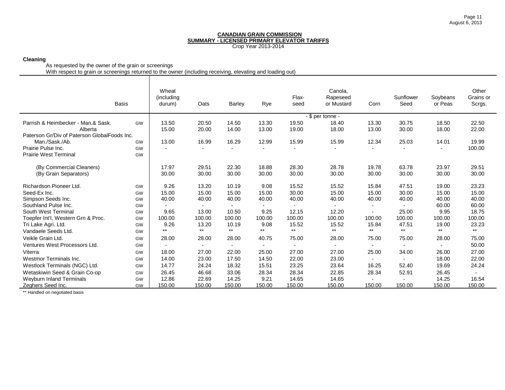## **Cleaning**

As requested by the owner of the grain or screenings

With respect to grain or screenings returned to the owner (including receiving, elevating and loading out)

|                                              | Wheat<br>(including<br>durum)                                                                      | Oats                                                                                                                      | <b>Barley</b>                                                                                                                | Rye                                                                                                                          | Flax-<br>seed                                                                                                            | Canola,<br>Rapeseed<br>or Mustard                                                                                            | Corn                                                                                                                                             | Sunflower<br>Seed                                                                                                   | Soybeans<br>or Peas                                                                                                          | Other<br>Grains or<br>Scrgs.                                                                                                         |
|----------------------------------------------|----------------------------------------------------------------------------------------------------|---------------------------------------------------------------------------------------------------------------------------|------------------------------------------------------------------------------------------------------------------------------|------------------------------------------------------------------------------------------------------------------------------|--------------------------------------------------------------------------------------------------------------------------|------------------------------------------------------------------------------------------------------------------------------|--------------------------------------------------------------------------------------------------------------------------------------------------|---------------------------------------------------------------------------------------------------------------------|------------------------------------------------------------------------------------------------------------------------------|--------------------------------------------------------------------------------------------------------------------------------------|
|                                              |                                                                                                    |                                                                                                                           |                                                                                                                              |                                                                                                                              |                                                                                                                          |                                                                                                                              |                                                                                                                                                  |                                                                                                                     |                                                                                                                              |                                                                                                                                      |
| GW                                           | 13.50                                                                                              | 20.50                                                                                                                     | 14.50                                                                                                                        | 13.30                                                                                                                        | 19.50                                                                                                                    | 18.40                                                                                                                        | 13.30                                                                                                                                            | 30.75                                                                                                               | 18.50                                                                                                                        | 22.50                                                                                                                                |
|                                              | 15.00                                                                                              | 20.00                                                                                                                     | 14.00                                                                                                                        | 13.00                                                                                                                        | 19.00                                                                                                                    | 18.00                                                                                                                        | 13.00                                                                                                                                            | 30.00                                                                                                               | 18.00                                                                                                                        | 22.00                                                                                                                                |
|                                              |                                                                                                    |                                                                                                                           |                                                                                                                              |                                                                                                                              |                                                                                                                          |                                                                                                                              |                                                                                                                                                  |                                                                                                                     |                                                                                                                              |                                                                                                                                      |
| GW                                           |                                                                                                    |                                                                                                                           |                                                                                                                              |                                                                                                                              |                                                                                                                          |                                                                                                                              |                                                                                                                                                  |                                                                                                                     |                                                                                                                              | 19.99                                                                                                                                |
| GW                                           |                                                                                                    |                                                                                                                           | $\overline{a}$                                                                                                               |                                                                                                                              |                                                                                                                          |                                                                                                                              | $\overline{a}$                                                                                                                                   |                                                                                                                     |                                                                                                                              | 100.00                                                                                                                               |
|                                              |                                                                                                    |                                                                                                                           |                                                                                                                              |                                                                                                                              |                                                                                                                          |                                                                                                                              |                                                                                                                                                  |                                                                                                                     |                                                                                                                              |                                                                                                                                      |
|                                              | 17.97                                                                                              | 29.51                                                                                                                     | 22.30                                                                                                                        | 18.88                                                                                                                        | 28.30                                                                                                                    | 28.78                                                                                                                        | 19.78                                                                                                                                            | 63.78                                                                                                               | 23.97                                                                                                                        | 29.51                                                                                                                                |
|                                              | 30.00                                                                                              | 30.00                                                                                                                     | 30.00                                                                                                                        | 30.00                                                                                                                        | 30.00                                                                                                                    | 30.00                                                                                                                        | 30.00                                                                                                                                            | 30.00                                                                                                               | 30.00                                                                                                                        | 30.00                                                                                                                                |
|                                              |                                                                                                    |                                                                                                                           |                                                                                                                              |                                                                                                                              |                                                                                                                          |                                                                                                                              |                                                                                                                                                  |                                                                                                                     |                                                                                                                              | 23.23                                                                                                                                |
|                                              |                                                                                                    |                                                                                                                           |                                                                                                                              |                                                                                                                              |                                                                                                                          |                                                                                                                              |                                                                                                                                                  |                                                                                                                     |                                                                                                                              | 15.00                                                                                                                                |
|                                              |                                                                                                    |                                                                                                                           |                                                                                                                              |                                                                                                                              |                                                                                                                          |                                                                                                                              |                                                                                                                                                  |                                                                                                                     |                                                                                                                              | 40.00                                                                                                                                |
|                                              | $\overline{\phantom{0}}$                                                                           | $\overline{\phantom{0}}$                                                                                                  | $\overline{\phantom{a}}$                                                                                                     | $\overline{\phantom{0}}$                                                                                                     | $\overline{\phantom{0}}$                                                                                                 |                                                                                                                              | $\blacksquare$                                                                                                                                   | $\overline{a}$                                                                                                      |                                                                                                                              | 60.00                                                                                                                                |
|                                              |                                                                                                    |                                                                                                                           |                                                                                                                              |                                                                                                                              |                                                                                                                          |                                                                                                                              | $\overline{a}$                                                                                                                                   |                                                                                                                     |                                                                                                                              | 18.75                                                                                                                                |
|                                              |                                                                                                    |                                                                                                                           |                                                                                                                              |                                                                                                                              |                                                                                                                          |                                                                                                                              |                                                                                                                                                  |                                                                                                                     |                                                                                                                              | 100.00                                                                                                                               |
|                                              |                                                                                                    |                                                                                                                           |                                                                                                                              |                                                                                                                              |                                                                                                                          |                                                                                                                              |                                                                                                                                                  |                                                                                                                     |                                                                                                                              | 23.23                                                                                                                                |
|                                              | $***$                                                                                              | $***$                                                                                                                     | $***$                                                                                                                        | $***$                                                                                                                        | $***$                                                                                                                    | $***$                                                                                                                        | $***$                                                                                                                                            | $***$                                                                                                               | $***$                                                                                                                        | $***$                                                                                                                                |
|                                              |                                                                                                    |                                                                                                                           |                                                                                                                              |                                                                                                                              |                                                                                                                          |                                                                                                                              |                                                                                                                                                  |                                                                                                                     |                                                                                                                              | 75.00                                                                                                                                |
|                                              |                                                                                                    | $\overline{\phantom{a}}$                                                                                                  | $\blacksquare$                                                                                                               | $\overline{\phantom{a}}$                                                                                                     | $\overline{\phantom{0}}$                                                                                                 |                                                                                                                              | $\blacksquare$                                                                                                                                   |                                                                                                                     |                                                                                                                              | 50.00                                                                                                                                |
|                                              |                                                                                                    |                                                                                                                           |                                                                                                                              |                                                                                                                              |                                                                                                                          |                                                                                                                              |                                                                                                                                                  |                                                                                                                     |                                                                                                                              | 27.00                                                                                                                                |
|                                              |                                                                                                    |                                                                                                                           |                                                                                                                              |                                                                                                                              |                                                                                                                          |                                                                                                                              |                                                                                                                                                  |                                                                                                                     |                                                                                                                              | 22.00                                                                                                                                |
|                                              |                                                                                                    |                                                                                                                           |                                                                                                                              |                                                                                                                              |                                                                                                                          |                                                                                                                              |                                                                                                                                                  |                                                                                                                     |                                                                                                                              | 24.24                                                                                                                                |
|                                              |                                                                                                    |                                                                                                                           |                                                                                                                              |                                                                                                                              |                                                                                                                          |                                                                                                                              |                                                                                                                                                  |                                                                                                                     |                                                                                                                              |                                                                                                                                      |
|                                              |                                                                                                    |                                                                                                                           |                                                                                                                              |                                                                                                                              |                                                                                                                          |                                                                                                                              |                                                                                                                                                  |                                                                                                                     |                                                                                                                              | 16.54                                                                                                                                |
|                                              |                                                                                                    |                                                                                                                           |                                                                                                                              |                                                                                                                              |                                                                                                                          |                                                                                                                              |                                                                                                                                                  |                                                                                                                     |                                                                                                                              | 150.00                                                                                                                               |
| Paterson Gr/Div of Paterson GlobalFoods Inc. | GW<br>GW<br>GW<br>GW<br>GW<br>GW<br>GW<br>GW<br>GW<br>GW<br>GW<br>GW<br>GW<br>GW<br>GW<br>GW<br>GW | 13.00<br>9.26<br>15.00<br>40.00<br>9.65<br>100.00<br>9.26<br>28.00<br>18.00<br>14.00<br>14.77<br>26.45<br>12.86<br>150.00 | 16.99<br>13.20<br>15.00<br>40.00<br>13.00<br>100.00<br>13.20<br>28.00<br>27.00<br>23.00<br>24.24<br>46.68<br>22.69<br>150.00 | 16.29<br>10.19<br>15.00<br>40.00<br>10.50<br>100.00<br>10.19<br>28.00<br>22.00<br>17.50<br>18.32<br>33.06<br>14.25<br>150.00 | 12.99<br>9.08<br>15.00<br>40.00<br>9.25<br>100.00<br>9.08<br>40.75<br>25.00<br>14.50<br>15.51<br>28.34<br>9.21<br>150.00 | 15.99<br>15.52<br>30.00<br>40.00<br>12.15<br>100.00<br>15.52<br>75.00<br>27.00<br>22.00<br>23.25<br>28.34<br>14.65<br>150.00 | - \$ per tonne -<br>15.99<br>15.52<br>15.00<br>40.00<br>12.20<br>100.00<br>15.52<br>28.00<br>27.00<br>23.00<br>23.64<br>22.85<br>14.65<br>150.00 | 12.34<br>15.84<br>15.00<br>40.00<br>100.00<br>15.84<br>75.00<br>25.00<br>$\blacksquare$<br>16.25<br>28.34<br>150.00 | 25.03<br>47.51<br>30.00<br>40.00<br>25.00<br>100.00<br>47.51<br>75.00<br>34.00<br>$\blacksquare$<br>52.40<br>52.91<br>150.00 | 14.01<br>19.00<br>15.00<br>40.00<br>60.00<br>9.95<br>100.00<br>19.00<br>28.00<br>26.00<br>18.00<br>19.69<br>26.45<br>14.25<br>150.00 |

\*\* Handled on negotiated basis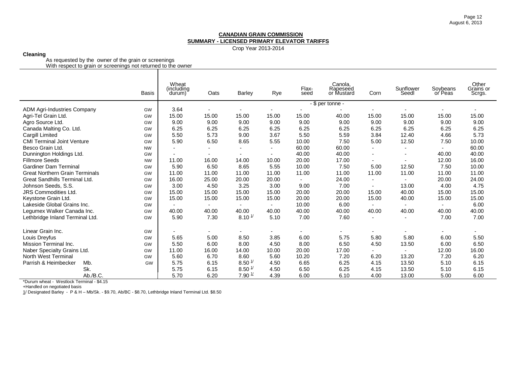Crop Year 2013-2014

# **Cleaning**

As requested by the owner of the grain or screenings

With respect to grain or screenings not returned to the owner

|                                       | <b>Basis</b> | Wheat<br>(including<br>durum) | Oats                     | Barley             | Rye            | Flax-<br>seed  | Canola,<br>Rapeseed<br>or Mustard | Corn                     | Sunflower<br>Seedl       | Soybeans<br>or Peas | Other<br>Grains or<br>Scrgs. |
|---------------------------------------|--------------|-------------------------------|--------------------------|--------------------|----------------|----------------|-----------------------------------|--------------------------|--------------------------|---------------------|------------------------------|
|                                       |              |                               |                          |                    |                |                | - \$ per tonne -                  |                          |                          |                     |                              |
| <b>ADM Agri-Industries Company</b>    | GW           | 3.64                          | $\overline{\phantom{a}}$ |                    |                |                |                                   |                          |                          |                     |                              |
| Agri-Tel Grain Ltd.                   | GW           | 15.00                         | 15.00                    | 15.00              | 15.00          | 15.00          | 40.00                             | 15.00                    | 15.00                    | 15.00               | 15.00                        |
| Agro Source Ltd.                      | GW           | 9.00                          | 9.00                     | 9.00               | 9.00           | 9.00           | 9.00                              | 9.00                     | 9.00                     | 9.00                | 9.00                         |
| Canada Malting Co. Ltd.               | GW           | 6.25                          | 6.25                     | 6.25               | 6.25           | 6.25           | 6.25                              | 6.25                     | 6.25                     | 6.25                | 6.25                         |
| Cargill Limited                       | GW           | 5.50                          | 5.73                     | 9.00               | 3.67           | 5.50           | 5.59                              | 3.84                     | 12.40                    | 4.66                | 5.73                         |
| <b>CMI Terminal Joint Venture</b>     | GW           | 5.90                          | 6.50                     | 8.65               | 5.55           | 10.00          | 7.50                              | 5.00                     | 12.50                    | 7.50                | 10.00                        |
| Besco Grain Ltd.                      | <b>NW</b>    | $\blacksquare$                | $\overline{\phantom{a}}$ |                    |                | 60.00          | 60.00                             | $\overline{\phantom{0}}$ | ٠                        |                     | 60.00                        |
| Dunnington Holdings Ltd.              | GW           | $\blacksquare$                |                          |                    | $\blacksquare$ | 40.00          | 40.00                             | $\overline{\phantom{0}}$ | $\overline{\phantom{a}}$ | 40.00               | 40.00                        |
| <b>Fillmore Seeds</b>                 | <b>NW</b>    | 11.00                         | 16.00                    | 14.00              | 10.00          | 20.00          | 17.00                             |                          | $\overline{\phantom{a}}$ | 12.00               | 16.00                        |
| <b>Gardiner Dam Terminal</b>          | GW           | 5.90                          | 6.50                     | 8.65               | 5.55           | 10.00          | 7.50                              | 5.00                     | 12.50                    | 7.50                | 10.00                        |
| <b>Great Northern Grain Terminals</b> | GW           | 11.00                         | 11.00                    | 11.00              | 11.00          | 11.00          | 11.00                             | 11.00                    | 11.00                    | 11.00               | 11.00                        |
| Great Sandhills Terminal Ltd.         | GW           | 16.00                         | 25.00                    | 20.00              | 20.00          | $\blacksquare$ | 24.00                             | $\blacksquare$           | $\overline{\phantom{0}}$ | 20.00               | 24.00                        |
| Johnson Seeds, S.S.                   | GW           | 3.00                          | 4.50                     | 3.25               | 3.00           | 9.00           | 7.00                              |                          | 13.00                    | 4.00                | 4.75                         |
| <b>JRS Commodities Ltd.</b>           | GW           | 15.00                         | 15.00                    | 15.00              | 15.00          | 20.00          | 20.00                             | 15.00                    | 40.00                    | 15.00               | 15.00                        |
| Keystone Grain Ltd.                   | GW           | 15.00                         | 15.00                    | 15.00              | 15.00          | 20.00          | 20.00                             | 15.00                    | 40.00                    | 15.00               | 15.00                        |
| Lakeside Global Grains Inc.           | GW           |                               |                          |                    |                | 10.00          | 6.00                              |                          |                          |                     | 6.00                         |
| Legumex Walker Canada Inc.            | GW           | 40.00                         | 40.00                    | 40.00              | 40.00          | 40.00          | 40.00                             | 40.00                    | 40.00                    | 40.00               | 40.00                        |
| Lethbridge Inland Terminal Ltd.       | GW           | 5.90                          | 7.30                     | $8.10^{1/2}$       | 5.10           | 7.00           | 7.60                              | $\blacksquare$           | $\overline{\phantom{a}}$ | 7.00                | 7.00                         |
| Linear Grain Inc.                     | GW           | $\overline{\phantom{a}}$      |                          |                    |                |                |                                   |                          |                          |                     |                              |
| Louis Dreyfus                         | GW           | 5.65                          | 5.00                     | 8.50               | 3.85           | 6.00           | 5.75                              | 5.80                     | 5.80                     | 6.00                | 5.50                         |
| Mission Terminal Inc.                 | GW           | 5.50                          | 6.00                     | 8.00               | 4.50           | 8.00           | 6.50                              | 4.50                     | 13.50                    | 6.00                | 6.50                         |
| Naber Specialty Grains Ltd.           | GW           | 11.00                         | 16.00                    | 14.00              | 10.00          | 20.00          | 17.00                             | $\blacksquare$           | $\overline{\phantom{a}}$ | 12.00               | 16.00                        |
| North West Terminal                   | GW           | 5.60                          | 6.70                     | 8.60               | 5.60           | 10.20          | 7.20                              | 6.20                     | 13.20                    | 7.20                | 6.20                         |
| Parrish & Heimbecker<br>Mb.           | GW           | 5.75                          | 6.15                     | $8.50 \frac{1}{1}$ | 4.50           | 6.65           | 6.25                              | 4.15                     | 13.50                    | 5.10                | 6.15                         |
| Sk.                                   |              | 5.75                          | 6.15                     | $8.50 \frac{1}{2}$ | 4.50           | 6.50           | 6.25                              | 4.15                     | 13.50                    | 5.10                | 6.15                         |
| Ab./B.C.                              |              | 5.70                          | 6.20                     | $7.90 \frac{1}{1}$ | 4.39           | 6.00           | 6.10                              | 4.00                     | 13.00                    | 5.00                | 6.00                         |

\*Durum wheat - Westlock Terminal - \$4.15

+Handled on negotiated basis

1/ Designated Barley - P & H – Mb/Sk. - \$9.70, Ab/BC - \$8.70, Lethbridge Inland Terminal Ltd. \$8.50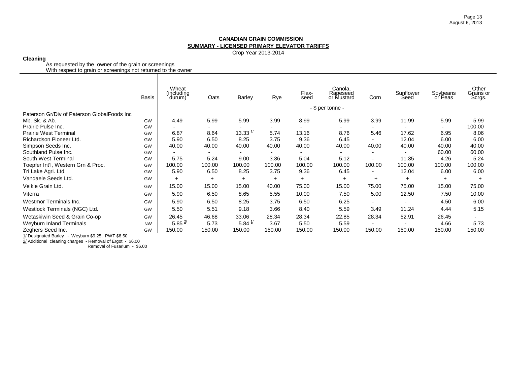Crop Year 2013-2014

## **Cleaning**

As requested by the owner of the grain or screenings With respect to grain or screenings not returned to the owner

|                                             | <b>Basis</b> | Wheat<br>(including)<br>durum) | Oats                     | Barley              | Rye       | Flax-<br>seed | Canola,<br>Rapeseed<br>or Mustard | Corn                     | Sunflower<br>Seed | Soybeans<br>or Peas | Other<br>Grains or<br>Scrgs. |
|---------------------------------------------|--------------|--------------------------------|--------------------------|---------------------|-----------|---------------|-----------------------------------|--------------------------|-------------------|---------------------|------------------------------|
|                                             |              |                                |                          |                     |           |               | - \$ per tonne -                  |                          |                   |                     |                              |
| Paterson Gr/Div of Paterson GlobalFoods Inc |              |                                |                          |                     |           |               |                                   |                          |                   |                     |                              |
| Mb. Sk. & Ab.                               | GW           | 4.49                           | 5.99                     | 5.99                | 3.99      | 8.99          | 5.99                              | 3.99                     | 11.99             | 5.99                | 5.99                         |
| Prairie Pulse Inc.                          | GW           | $\blacksquare$                 | $\overline{\phantom{0}}$ |                     | ٠         |               |                                   |                          | $\blacksquare$    | $\sim$              | 100.00                       |
| <b>Prairie West Terminal</b>                | GW           | 6.87                           | 8.64                     | $13.33 \frac{1}{2}$ | 5.74      | 13.16         | 8.76                              | 5.46                     | 17.62             | 6.95                | 8.06                         |
| Richardson Pioneer Ltd.                     | GW           | 5.90                           | 6.50                     | 8.25                | 3.75      | 9.36          | 6.45                              |                          | 12.04             | 6.00                | 6.00                         |
| Simpson Seeds Inc.                          | GW           | 40.00                          | 40.00                    | 40.00               | 40.00     | 40.00         | 40.00                             | 40.00                    | 40.00             | 40.00               | 40.00                        |
| Southland Pulse Inc.                        | GW           | $\overline{\phantom{0}}$       | $\overline{\phantom{0}}$ |                     |           |               |                                   |                          |                   | 60.00               | 60.00                        |
| South West Terminal                         | GW           | 5.75                           | 5.24                     | 9.00                | 3.36      | 5.04          | 5.12                              |                          | 11.35             | 4.26                | 5.24                         |
| Toepfer Int'l, Western Grn & Proc.          | GW           | 100.00                         | 100.00                   | 100.00              | 100.00    | 100.00        | 100.00                            | 100.00                   | 100.00            | 100.00              | 100.00                       |
| Tri Lake Agri. Ltd.                         | GW           | 5.90                           | 6.50                     | 8.25                | 3.75      | 9.36          | 6.45                              | $\overline{\phantom{0}}$ | 12.04             | 6.00                | 6.00                         |
| Vandaele Seeds Ltd.                         | GW           | $+$                            | $\ddot{}$                | $\pm$               | $\ddot{}$ | $+$           | $+$                               | $\pm$                    | $+$               | $+$                 | $+$                          |
| Veikle Grain Ltd.                           | GW           | 15.00                          | 15.00                    | 15.00               | 40.00     | 75.00         | 15.00                             | 75.00                    | 75.00             | 15.00               | 75.00                        |
| Viterra                                     | GW           | 5.90                           | 6.50                     | 8.65                | 5.55      | 10.00         | 7.50                              | 5.00                     | 12.50             | 7.50                | 10.00                        |
| Westmor Terminals Inc.                      | GW           | 5.90                           | 6.50                     | 8.25                | 3.75      | 6.50          | 6.25                              | $\overline{\phantom{a}}$ | $\blacksquare$    | 4.50                | 6.00                         |
| Westlock Terminals (NGC) Ltd.               | GW           | 5.50                           | 5.51                     | 9.18                | 3.66      | 8.40          | 5.59                              | 3.49                     | 11.24             | 4.44                | 5.15                         |
| Wetaskiwin Seed & Grain Co-op               | GW           | 26.45                          | 46.68                    | 33.06               | 28.34     | 28.34         | 22.85                             | 28.34                    | 52.91             | 26.45               | $\overline{\phantom{0}}$     |
| <b>Weyburn Inland Terminals</b>             | <b>NW</b>    | $5.85 \frac{2}{1}$             | 5.73                     | $5.84 \frac{1}{2}$  | 3.67      | 5.50          | 5.59                              | $\overline{\phantom{0}}$ | $\blacksquare$    | 4.66                | 5.73                         |
| Zeghers Seed Inc.                           | GW           | 150.00                         | 150.00                   | 150.00              | 150.00    | 150.00        | 150.00                            | 150.00                   | 150.00            | 150.00              | 150.00                       |

1/ Designated Barley - Weyburn \$9.25, PWT \$8.50,

2/ Additional cleaning charges - Removal of Ergot - \$6.00 Removal of Fusarium - \$6.00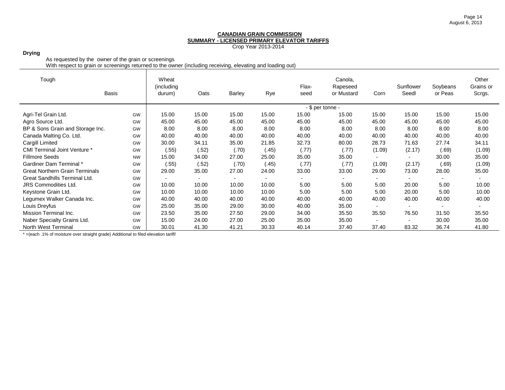Crop Year 2013-2014

## **Drying**

As requested by the owner of the grain or screenings

With respect to grain or screenings returned to the owner (including receiving, elevating and loading out)

| Tough                                 | <b>Basis</b> | Wheat<br>(including |                          |                          |       | Flax- | Canola,<br>Rapeseed |                          | Sunflower<br>Seedl | Soybeans                 | Other<br>Grains or |
|---------------------------------------|--------------|---------------------|--------------------------|--------------------------|-------|-------|---------------------|--------------------------|--------------------|--------------------------|--------------------|
|                                       |              | durum)              | Oats                     | <b>Barley</b>            | Rye   | seed  | or Mustard          | Corn                     |                    | or Peas                  | Scrgs.             |
|                                       |              |                     |                          |                          |       |       | - \$ per tonne -    |                          |                    |                          |                    |
| Agri-Tel Grain Ltd.                   | GW           | 15.00               | 15.00                    | 15.00                    | 15.00 | 15.00 | 15.00               | 15.00                    | 15.00              | 15.00                    | 15.00              |
| Agro Source Ltd.                      | GW           | 45.00               | 45.00                    | 45.00                    | 45.00 | 45.00 | 45.00               | 45.00                    | 45.00              | 45.00                    | 45.00              |
| BP & Sons Grain and Storage Inc.      | GW           | 8.00                | 8.00                     | 8.00                     | 8.00  | 8.00  | 8.00                | 8.00                     | 8.00               | 8.00                     | 8.00               |
| Canada Malting Co. Ltd.               | GW           | 40.00               | 40.00                    | 40.00                    | 40.00 | 40.00 | 40.00               | 40.00                    | 40.00              | 40.00                    | 40.00              |
| Cargill Limited                       | GW           | 30.00               | 34.11                    | 35.00                    | 21.85 | 32.73 | 80.00               | 28.73                    | 71.63              | 27.74                    | 34.11              |
| CMI Terminal Joint Venture *          | GW           | (.55)               | (.52)                    | (.70)                    | (.45) | (.77) | (.77)               | (1.09)                   | (2.17)             | (.69)                    | (1.09)             |
| <b>Fillmore Seeds</b>                 | <b>NW</b>    | 15.00               | 34.00                    | 27.00                    | 25.00 | 35.00 | 35.00               |                          |                    | 30.00                    | 35.00              |
| Gardiner Dam Terminal *               | GW           | (.55)               | (.52)                    | (.70)                    | (.45) | (.77) | (.77)               | (1.09)                   | (2.17)             | (.69)                    | (1.09)             |
| <b>Great Northern Grain Terminals</b> | GW           | 29.00               | 35.00                    | 27.00                    | 24.00 | 33.00 | 33.00               | 29.00                    | 73.00              | 28.00                    | 35.00              |
| Great Sandhills Terminal Ltd.         | GW           |                     | $\overline{\phantom{0}}$ | $\overline{\phantom{0}}$ |       | Ξ.    | $\blacksquare$      | $\overline{\phantom{0}}$ |                    | $\overline{\phantom{0}}$ |                    |
| JRS Commodities Ltd.                  | GW           | 10.00               | 10.00                    | 10.00                    | 10.00 | 5.00  | 5.00                | 5.00                     | 20.00              | 5.00                     | 10.00              |
| Keystone Grain Ltd.                   | GW           | 10.00               | 10.00                    | 10.00                    | 10.00 | 5.00  | 5.00                | 5.00                     | 20.00              | 5.00                     | 10.00              |
| Legumex Walker Canada Inc.            | GW           | 40.00               | 40.00                    | 40.00                    | 40.00 | 40.00 | 40.00               | 40.00                    | 40.00              | 40.00                    | 40.00              |
| Louis Dreyfus                         | GW           | 25.00               | 35.00                    | 29.00                    | 30.00 | 40.00 | 35.00               |                          |                    |                          |                    |
| Mission Terminal Inc.                 | GW           | 23.50               | 35.00                    | 27.50                    | 29.00 | 34.00 | 35.50               | 35.50                    | 76.50              | 31.50                    | 35.50              |
| Naber Specialty Grains Ltd.           | GW           | 15.00               | 24.00                    | 27.00                    | 25.00 | 35.00 | 35.00               | $\overline{\phantom{a}}$ |                    | 30.00                    | 35.00              |
| North West Terminal                   | <b>GW</b>    | 30.01               | 41.30                    | 41.21                    | 30.33 | 40.14 | 37.40               | 37.40                    | 83.32              | 36.74                    | 41.80              |

\* =(each .1% of moisture over straight grade) Additional to filed elevation tariff/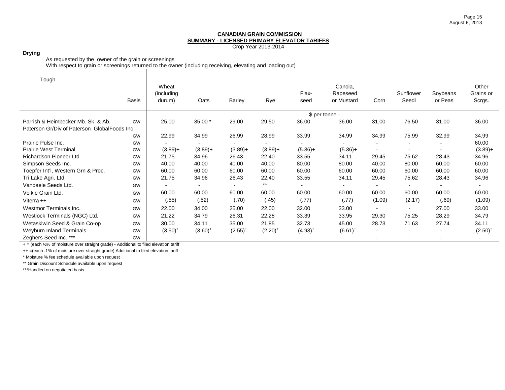Crop Year 2013-2014

#### **Drying**

As requested by the owner of the grain or screenings

With respect to grain or screenings returned to the owner (including receiving, elevating and loading out)

| Tough                                        |              |             |            |            |                |                  |            |                          |                          |          |                          |
|----------------------------------------------|--------------|-------------|------------|------------|----------------|------------------|------------|--------------------------|--------------------------|----------|--------------------------|
|                                              |              | Wheat       |            |            |                |                  | Canola,    |                          |                          |          | Other                    |
|                                              |              | (including) |            |            |                | Flax-            | Rapeseed   |                          | Sunflower                | Soybeans | Grains or                |
|                                              | <b>Basis</b> | durum)      | Oats       | Barley     | Rye            | seed             | or Mustard | Corn                     | Seedl                    | or Peas  | Scrgs.                   |
|                                              |              |             |            |            |                |                  |            |                          |                          |          |                          |
|                                              |              |             |            |            |                | - \$ per tonne - |            |                          |                          |          |                          |
| Parrish & Heimbecker Mb, Sk, & Ab,           | GW           | 25.00       | 35.00 *    | 29.00      | 29.50          | 36.00            | 36.00      | 31.00                    | 76.50                    | 31.00    | 36.00                    |
| Paterson Gr/Div of Paterson GlobalFoods Inc. |              |             |            |            |                |                  |            |                          |                          |          |                          |
|                                              | GW           | 22.99       | 34.99      | 26.99      | 28.99          | 33.99            | 34.99      | 34.99                    | 75.99                    | 32.99    | 34.99                    |
| Prairie Pulse Inc.                           | GW           |             |            |            | $\blacksquare$ |                  |            |                          | $\overline{\phantom{a}}$ |          | 60.00                    |
| <b>Prairie West Terminal</b>                 | GW           | $(3.89)+$   | $(3.89) +$ | $(3.89) +$ | $(3.89) +$     | $(5.36)+$        | $(5.36) +$ |                          |                          |          | $(3.89) +$               |
| Richardson Pioneer Ltd.                      | GW           | 21.75       | 34.96      | 26.43      | 22.40          | 33.55            | 34.11      | 29.45                    | 75.62                    | 28.43    | 34.96                    |
| Simpson Seeds Inc.                           | GW           | 40.00       | 40.00      | 40.00      | 40.00          | 80.00            | 80.00      | 40.00                    | 80.00                    | 60.00    | 60.00                    |
| Toepfer Int'l, Western Grn & Proc.           | <b>GW</b>    | 60.00       | 60.00      | 60.00      | 60.00          | 60.00            | 60.00      | 60.00                    | 60.00                    | 60.00    | 60.00                    |
| Tri Lake Agri. Ltd.                          | GW           | 21.75       | 34.96      | 26.43      | 22.40          | 33.55            | 34.11      | 29.45                    | 75.62                    | 28.43    | 34.96                    |
| Vandaele Seeds Ltd.                          | GW           |             |            |            | $***$          |                  | $\sim$     |                          |                          |          |                          |
| Veikle Grain Ltd.                            | GW           | 60.00       | 60.00      | 60.00      | 60.00          | 60.00            | 60.00      | 60.00                    | 60.00                    | 60.00    | 60.00                    |
| Viterra $++$                                 | GW           | (.55)       | (.52)      | (.70)      | (.45)          | (.77)            | (.77)      | (1.09)                   | (2.17)                   | (.69)    | (1.09)                   |
| Westmor Terminals Inc.                       | GW           | 22.00       | 34.00      | 25.00      | 22.00          | 32.00            | 33.00      |                          | $\overline{\phantom{a}}$ | 27.00    | 33.00                    |
| Westlock Terminals (NGC) Ltd.                | GW           | 21.22       | 34.79      | 26.31      | 22.28          | 33.39            | 33.95      | 29.30                    | 75.25                    | 28.29    | 34.79                    |
| Wetaskiwin Seed & Grain Co-op                | GW           | 30.00       | 34.11      | 35.00      | 21.85          | 32.73            | 45.00      | 28.73                    | 71.63                    | 27.74    | 34.11                    |
| Weyburn Inland Terminals                     | GW           | $(3.50)^+$  | $(3.60)^+$ | $(2.55)^+$ | $(2.20)^+$     | $(4.93)^+$       | $(6.61)^+$ | $\overline{\phantom{a}}$ | $\blacksquare$           |          | $(2.50)^+$               |
| Zeghers Seed Inc. ***                        | GW           |             |            |            |                |                  |            |                          |                          |          | $\overline{\phantom{a}}$ |

+ = (each ½% of moisture over straight grade) - Additional to filed elevation tariff

++ =(each .1% of moisture over straight grade) Additional to filed elevation tariff

\* Moisture % fee schedule available upon request

\*\* Grain Discount Schedule available upon request

\*\*\*Handled on negotiated basis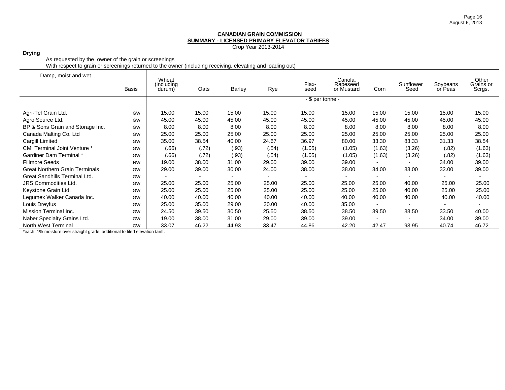Crop Year 2013-2014

## **Drying**

As requested by the owner of the grain or screenings

With respect to grain or screenings returned to the owner (including receiving, elevating and loading out)

| Damp, moist and wet                   |           | Wheat                 |       |               |       |                  |                                   |                          |                          |                     | Other               |
|---------------------------------------|-----------|-----------------------|-------|---------------|-------|------------------|-----------------------------------|--------------------------|--------------------------|---------------------|---------------------|
|                                       | Basis     | (including)<br>durum) | Oats  | <b>Barley</b> | Rye   | Flax-<br>seed    | Canola,<br>Rapeseed<br>or Mustard | Corn                     | Sunflower<br>Seed        | Soybeans<br>or Peas | Grains or<br>Scrgs. |
|                                       |           |                       |       |               |       | - \$ per tonne - |                                   |                          |                          |                     |                     |
| Agri-Tel Grain Ltd.                   | GW        | 15.00                 | 15.00 | 15.00         | 15.00 | 15.00            | 15.00                             | 15.00                    | 15.00                    | 15.00               | 15.00               |
| Agro Source Ltd.                      | GW        | 45.00                 | 45.00 | 45.00         | 45.00 | 45.00            | 45.00                             | 45.00                    | 45.00                    | 45.00               | 45.00               |
| BP & Sons Grain and Storage Inc.      | GW        | 8.00                  | 8.00  | 8.00          | 8.00  | 8.00             | 8.00                              | 8.00                     | 8.00                     | 8.00                | 8.00                |
| Canada Malting Co. Ltd                | GW        | 25.00                 | 25.00 | 25.00         | 25.00 | 25.00            | 25.00                             | 25.00                    | 25.00                    | 25.00               | 25.00               |
| Cargill Limited                       | GW        | 35.00                 | 38.54 | 40.00         | 24.67 | 36.97            | 80.00                             | 33.30                    | 83.33                    | 31.33               | 38.54               |
| <b>CMI Terminal Joint Venture *</b>   | GW        | (.66)                 | (.72) | (.93)         | (.54) | (1.05)           | (1.05)                            | (1.63)                   | (3.26)                   | (.82)               | (1.63)              |
| Gardiner Dam Terminal *               | GW        | (.66)                 | (.72) | (.93)         | (.54) | (1.05)           | (1.05)                            | (1.63)                   | (3.26)                   | (.82)               | (1.63)              |
| <b>Fillmore Seeds</b>                 | <b>NW</b> | 19.00                 | 38.00 | 31.00         | 29.00 | 39.00            | 39.00                             |                          |                          | 34.00               | 39.00               |
| <b>Great Northern Grain Terminals</b> | GW        | 29.00                 | 39.00 | 30.00         | 24.00 | 38.00            | 38.00                             | 34.00                    | 83.00                    | 32.00               | 39.00               |
| Great Sandhills Terminal Ltd.         | GW        |                       |       |               |       |                  |                                   |                          |                          |                     |                     |
| <b>JRS Commodities Ltd.</b>           | GW        | 25.00                 | 25.00 | 25.00         | 25.00 | 25.00            | 25.00                             | 25.00                    | 40.00                    | 25.00               | 25.00               |
| Keystone Grain Ltd.                   | GW        | 25.00                 | 25.00 | 25.00         | 25.00 | 25.00            | 25.00                             | 25.00                    | 40.00                    | 25.00               | 25.00               |
| Legumex Walker Canada Inc.            | GW        | 40.00                 | 40.00 | 40.00         | 40.00 | 40.00            | 40.00                             | 40.00                    | 40.00                    | 40.00               | 40.00               |
| Louis Dreyfus                         | GW        | 25.00                 | 35.00 | 29.00         | 30.00 | 40.00            | 35.00                             |                          |                          |                     |                     |
| Mission Terminal Inc.                 | GW        | 24.50                 | 39.50 | 30.50         | 25.50 | 38.50            | 38.50                             | 39.50                    | 88.50                    | 33.50               | 40.00               |
| Naber Specialty Grains Ltd.           | GW        | 19.00                 | 38.00 | 31.00         | 29.00 | 39.00            | 39.00                             | $\overline{\phantom{0}}$ | $\overline{\phantom{a}}$ | 34.00               | 39.00               |
| North West Terminal                   | GW        | 33.07                 | 46.22 | 44.93         | 33.47 | 44.86            | 42.20                             | 42.47                    | 93.95                    | 40.74               | 46.72               |

\*each .1% moisture over straight grade, additional to filed elevation tariff.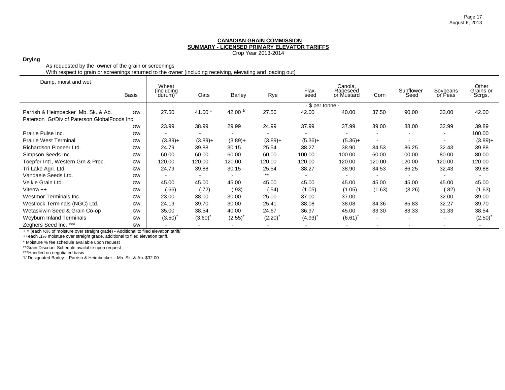Crop Year 2013-2014

## **Drying**

As requested by the owner of the grain or screenings

With respect to grain or screenings returned to the owner (including receiving, elevating and loading out)

| Damp, moist and wet                          |              |                                |                          |                |            |                  |                                   |        |                   |                     |                              |
|----------------------------------------------|--------------|--------------------------------|--------------------------|----------------|------------|------------------|-----------------------------------|--------|-------------------|---------------------|------------------------------|
|                                              | <b>Basis</b> | Wheat<br>(including)<br>durum) | Oats                     | Barley         | Rye        | Flax-<br>seed    | Canola,<br>Rapeseed<br>or Mustard | Corn   | Sunflower<br>Seed | Soybeans<br>or Peas | Other<br>Grains or<br>Scrgs. |
|                                              |              |                                |                          |                |            | - \$ per tonne - |                                   |        |                   |                     |                              |
| Parrish & Heimbecker Mb. Sk. & Ab.           | GW           | 27.50                          | 41.00 *                  | 42.00 $1/$     | 27.50      | 42.00            | 40.00                             | 37.50  | 90.00             | 33.00               | 42.00                        |
| Paterson Gr/Div of Paterson GlobalFoods Inc. |              |                                |                          |                |            |                  |                                   |        |                   |                     |                              |
|                                              | GW           | 23.99                          | 38.99                    | 29.99          | 24.99      | 37.99            | 37.99                             | 39.00  | 88.00             | 32.99               | 39.89                        |
| Prairie Pulse Inc.                           | GW           |                                |                          |                |            |                  |                                   |        |                   |                     | 100.00                       |
| <b>Prairie West Terminal</b>                 | GW           | $(3.89) +$                     | $(3.89) +$               | $(3.89) +$     | $(3.89) +$ | $(5.36)+$        | $(5.36)+$                         |        |                   |                     | $(3.89) +$                   |
| Richardson Pioneer Ltd.                      | GW           | 24.79                          | 39.88                    | 30.15          | 25.54      | 38.27            | 38.90                             | 34.53  | 86.25             | 32.43               | 39.88                        |
| Simpson Seeds Inc.                           | GW           | 60.00                          | 60.00                    | 60.00          | 60.00      | 100.00           | 100.00                            | 60.00  | 100.00            | 80.00               | 80.00                        |
| Toepfer Int'l, Western Grn & Proc.           | GW           | 120.00                         | 120.00                   | 120.00         | 120.00     | 120.00           | 120.00                            | 120.00 | 120.00            | 120.00              | 120.00                       |
| Tri Lake Agri. Ltd.                          | GW           | 24.79                          | 39.88                    | 30.15          | 25.54      | 38.27            | 38.90                             | 34.53  | 86.25             | 32.43               | 39.88                        |
| Vandaele Seeds Ltd.                          | GW           |                                | $\overline{\phantom{0}}$ | $\overline{a}$ | $***$      |                  |                                   |        |                   |                     |                              |
| Veikle Grain Ltd.                            | GW           | 45.00                          | 45.00                    | 45.00          | 45.00      | 45.00            | 45.00                             | 45.00  | 45.00             | 45.00               | 45.00                        |
| Viterra $++$                                 | GW           | (.66)                          | (.72)                    | (.93)          | (.54)      | (1.05)           | (1.05)                            | (1.63) | (3.26)            | (.82)               | (1.63)                       |
| Westmor Terminals Inc.                       | GW           | 23.00                          | 38.00                    | 30.00          | 25.00      | 37.00            | 37.00                             |        |                   | 32.00               | 39.00                        |
| Westlock Terminals (NGC) Ltd.                | GW           | 24.19                          | 39.70                    | 30.00          | 25.41      | 38.08            | 38.08                             | 34.36  | 85.83             | 32.27               | 39.70                        |
| Wetaskiwin Seed & Grain Co-op                | GW           | 35.00                          | 38.54                    | 40.00          | 24.67      | 36.97            | 45.00                             | 33.30  | 83.33             | 31.33               | 38.54                        |
| Weyburn Inland Terminals                     | GW           | $(3.50)$ <sup>+</sup>          | $(3.60)^+$               | $(2.55)^{+}$   | $(2.20)^+$ | $(4.93)^{+}$     | $(6.61)^+$                        |        |                   | $\blacksquare$      | $(2.50)^{4}$                 |
| Zeghers Seed Inc. ***                        | GW           |                                |                          |                |            |                  |                                   |        |                   |                     |                              |

+ = (each ½% of moisture over straight grade) - Additional to filed elevation tariff/

++each .1% moisture over straight grade, additional to filed elevation tariff.

\* Moisture % fee schedule available upon request

\*\*Grain Discount Schedule available upon request

\*\*\*Handled on negotiated basis

1/ Designated Barley - Parrish & Heimbecker – Mb. Sk. & Ab. \$32.00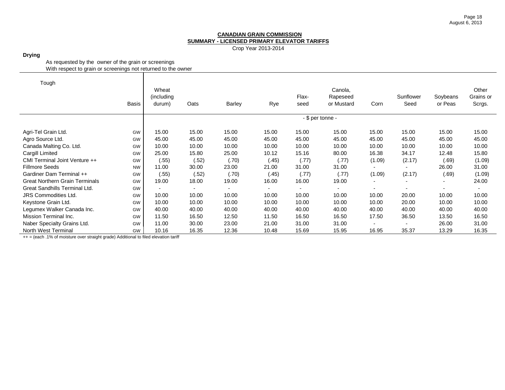Crop Year 2013-2014

**Drying**

As requested by the owner of the grain or screenings With respect to grain or screenings not returned to the owner

| Tough                                 |              |            |       |        |       |       |                  |                          |                          |                          |           |
|---------------------------------------|--------------|------------|-------|--------|-------|-------|------------------|--------------------------|--------------------------|--------------------------|-----------|
|                                       |              | Wheat      |       |        |       |       | Canola,          |                          |                          |                          | Other     |
|                                       |              | (including |       |        |       | Flax- | Rapeseed         |                          | Sunflower                | Soybeans                 | Grains or |
|                                       | <b>Basis</b> | durum)     | Oats  | Barley | Rye   | seed  | or Mustard       | Corn                     | Seed                     | or Peas                  | Scrgs.    |
|                                       |              |            |       |        |       |       | - \$ per tonne - |                          |                          |                          |           |
| Agri-Tel Grain Ltd.                   | GW           | 15.00      | 15.00 | 15.00  | 15.00 | 15.00 | 15.00            | 15.00                    | 15.00                    | 15.00                    | 15.00     |
| Agro Source Ltd.                      | GW           | 45.00      | 45.00 | 45.00  | 45.00 | 45.00 | 45.00            | 45.00                    | 45.00                    | 45.00                    | 45.00     |
| Canada Malting Co. Ltd.               | GW           | 10.00      | 10.00 | 10.00  | 10.00 | 10.00 | 10.00            | 10.00                    | 10.00                    | 10.00                    | 10.00     |
| Cargill Limited                       | GW           | 25.00      | 15.80 | 25.00  | 10.12 | 15.16 | 80.00            | 16.38                    | 34.17                    | 12.48                    | 15.80     |
| CMI Terminal Joint Venture ++         | GW           | (.55)      | (.52) | (.70)  | (.45) | (.77) | (.77)            | (1.09)                   | (2.17)                   | (.69)                    | (1.09)    |
| <b>Fillmore Seeds</b>                 | <b>NW</b>    | 11.00      | 30.00 | 23.00  | 21.00 | 31.00 | 31.00            |                          | $\overline{\phantom{0}}$ | 26.00                    | 31.00     |
| Gardiner Dam Terminal ++              | GW           | (.55)      | (.52) | (.70)  | (.45) | (.77) | (.77)            | (1.09)                   | (2.17)                   | (.69)                    | (1.09)    |
| <b>Great Northern Grain Terminals</b> | GW           | 19.00      | 18.00 | 19.00  | 16.00 | 16.00 | 19.00            | $\overline{\phantom{0}}$ | $\overline{\phantom{a}}$ | $\blacksquare$           | 24.00     |
| Great Sandhills Terminal Ltd.         | GW           |            |       |        |       |       |                  |                          | $\blacksquare$           | $\overline{\phantom{0}}$ |           |
| <b>JRS Commodities Ltd.</b>           | GW           | 10.00      | 10.00 | 10.00  | 10.00 | 10.00 | 10.00            | 10.00                    | 20.00                    | 10.00                    | 10.00     |
| Keystone Grain Ltd.                   | GW           | 10.00      | 10.00 | 10.00  | 10.00 | 10.00 | 10.00            | 10.00                    | 20.00                    | 10.00                    | 10.00     |
| Legumex Walker Canada Inc.            | GW           | 40.00      | 40.00 | 40.00  | 40.00 | 40.00 | 40.00            | 40.00                    | 40.00                    | 40.00                    | 40.00     |
| Mission Terminal Inc.                 | GW           | 11.50      | 16.50 | 12.50  | 11.50 | 16.50 | 16.50            | 17.50                    | 36.50                    | 13.50                    | 16.50     |
| Naber Specialty Grains Ltd.           | GW           | 11.00      | 30.00 | 23.00  | 21.00 | 31.00 | 31.00            |                          | $\blacksquare$           | 26.00                    | 31.00     |
| North West Terminal                   | GW           | 10.16      | 16.35 | 12.36  | 10.48 | 15.69 | 15.95            | 16.95                    | 35.37                    | 13.29                    | 16.35     |

++ = (each .1% of moisture over straight grade) Additional to filed elevation tariff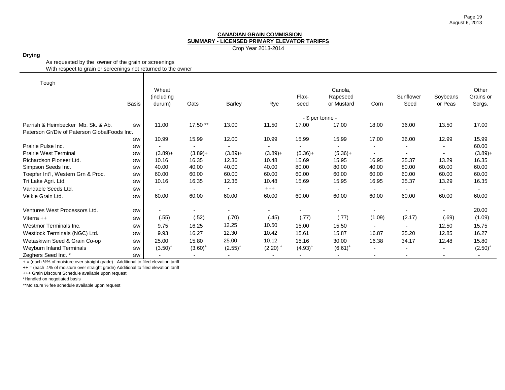Crop Year 2013-2014

**Drying**

As requested by the owner of the grain or screenings With respect to grain or screenings not returned to the owner

| Tough                                        |              |            |                          |               |                          |                  |                |                          |                          |                          |              |
|----------------------------------------------|--------------|------------|--------------------------|---------------|--------------------------|------------------|----------------|--------------------------|--------------------------|--------------------------|--------------|
|                                              |              | Wheat      |                          |               |                          |                  | Canola,        |                          |                          |                          | Other        |
|                                              |              | (including |                          |               |                          | Flax-            | Rapeseed       |                          | Sunflower                | Soybeans                 | Grains or    |
|                                              | <b>Basis</b> | durum)     | Oats                     | <b>Barley</b> | Rye                      | seed             | or Mustard     | Corn                     | Seed                     | or Peas                  | Scrgs.       |
|                                              |              |            |                          |               |                          | - \$ per tonne - |                |                          |                          |                          |              |
| Parrish & Heimbecker Mb. Sk. & Ab.           | GW           | 11.00      | 17.50 **                 | 13.00         | 11.50                    | 17.00            | 17.00          | 18.00                    | 36.00                    | 13.50                    | 17.00        |
| Paterson Gr/Div of Paterson GlobalFoods Inc. |              |            |                          |               |                          |                  |                |                          |                          |                          |              |
|                                              | GW           | 10.99      | 15.99                    | 12.00         | 10.99                    | 15.99            | 15.99          | 17.00                    | 36.00                    | 12.99                    | 15.99        |
| Prairie Pulse Inc.                           | GW           |            |                          |               |                          |                  |                |                          |                          | ٠                        | 60.00        |
| <b>Prairie West Terminal</b>                 | GW           | $(3.89) +$ | $(3.89)+$                | $(3.89) +$    | $(3.89)+$                | $(5.36) +$       | $(5.36)+$      | $\overline{\phantom{a}}$ |                          |                          | $(3.89) +$   |
| Richardson Pioneer Ltd.                      | GW           | 10.16      | 16.35                    | 12.36         | 10.48                    | 15.69            | 15.95          | 16.95                    | 35.37                    | 13.29                    | 16.35        |
| Simpson Seeds Inc.                           | GW           | 40.00      | 40.00                    | 40.00         | 40.00                    | 80.00            | 80.00          | 40.00                    | 80.00                    | 60.00                    | 60.00        |
| Toepfer Int'l, Western Grn & Proc.           | GW           | 60.00      | 60.00                    | 60.00         | 60.00                    | 60.00            | 60.00          | 60.00                    | 60.00                    | 60.00                    | 60.00        |
| Tri Lake Agri. Ltd.                          | GW           | 10.16      | 16.35                    | 12.36         | 10.48                    | 15.69            | 15.95          | 16.95                    | 35.37                    | 13.29                    | 16.35        |
| Vandaele Seeds Ltd.                          | GW           |            |                          |               | $^{+++}$                 |                  | $\blacksquare$ |                          |                          | ۰                        |              |
| Veikle Grain Ltd.                            | GW           | 60.00      | 60.00                    | 60.00         | 60.00                    | 60.00            | 60.00          | 60.00                    | 60.00                    | 60.00                    | 60.00        |
| Ventures West Processors Ltd.                | GW           |            |                          |               | $\overline{\phantom{a}}$ |                  |                |                          |                          |                          | 20.00        |
| Viterra $++$                                 | GW           | (.55)      | (.52)                    | (.70)         | (.45)                    | (.77)            | (.77)          | (1.09)                   | (2.17)                   | (.69)                    | (1.09)       |
| Westmor Terminals Inc.                       | GW           | 9.75       | 16.25                    | 12.25         | 10.50                    | 15.00            | 15.50          | $\blacksquare$           | $\overline{\phantom{a}}$ | 12.50                    | 15.75        |
| Westlock Terminals (NGC) Ltd.                | GW           | 9.93       | 16.27                    | 12.30         | 10.42                    | 15.61            | 15.87          | 16.87                    | 35.20                    | 12.85                    | 16.27        |
|                                              |              |            |                          | 25.00         | 10.12                    |                  |                |                          |                          |                          |              |
| Wetaskiwin Seed & Grain Co-op                | GW           | 25.00      | 15.80                    |               |                          | 15.16            | 30.00          | 16.38                    | 34.17                    | 12.48                    | 15.80        |
| Weyburn Inland Terminals                     | GW           | $(3.50)^+$ | $(3.60)^+$               | $(2.55)^+$    | $(2.20)$ <sup>+</sup>    | $(4.93)^{+}$     | $(6.61)^+$     | $\overline{\phantom{a}}$ | $\overline{\phantom{a}}$ | -                        | $(2.50)^{+}$ |
| Zeghers Seed Inc. *                          | GW           |            | $\overline{\phantom{0}}$ |               |                          |                  |                | $\overline{\phantom{a}}$ |                          | $\overline{\phantom{0}}$ |              |

+ = (each ½% of moisture over straight grade) - Additional to filed elevation tariff

++ = (each .1% of moisture over straight grade) Additional to filed elevation tariff

+++ Grain Discount Schedule available upon request

\*Handled on negotiated basis

\*\*Moisture % fee schedule available upon request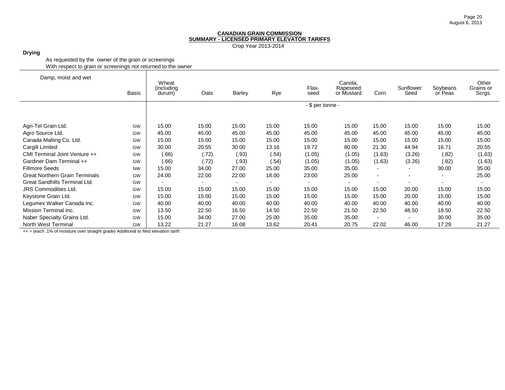Crop Year 2013-2014

## **Drying**

As requested by the owner of the grain or screenings With respect to grain or screenings not returned to the owner

| Damp, moist and wet                   |              | Wheat                 |       |               |       |                  |                                   |        |                   |                          |                              |
|---------------------------------------|--------------|-----------------------|-------|---------------|-------|------------------|-----------------------------------|--------|-------------------|--------------------------|------------------------------|
|                                       | <b>Basis</b> | (including)<br>durum) | Oats  | <b>Barley</b> | Rye   | Flax-<br>seed    | Canola,<br>Rapeseed<br>or Mustard | Corn   | Sunflower<br>Seed | Soybeans<br>or Peas      | Other<br>Grains or<br>Scrgs. |
|                                       |              |                       |       |               |       | - \$ per tonne - |                                   |        |                   |                          |                              |
|                                       |              |                       |       |               |       |                  |                                   |        |                   |                          |                              |
| Agri-Tel Grain Ltd.                   | GW           | 15.00                 | 15.00 | 15.00         | 15.00 | 15.00            | 15.00                             | 15.00  | 15.00             | 15.00                    | 15.00                        |
| Agro Source Ltd.                      | GW           | 45.00                 | 45.00 | 45.00         | 45.00 | 45.00            | 45.00                             | 45.00  | 45.00             | 45.00                    | 45.00                        |
| Canada Malting Co. Ltd.               | GW           | 15.00                 | 15.00 | 15.00         | 15.00 | 15.00            | 15.00                             | 15.00  | 15.00             | 15.00                    | 15.00                        |
| Cargill Limited                       | GW           | 30.00                 | 20.55 | 30.00         | 13.16 | 19.72            | 80.00                             | 21.30  | 44.94             | 16.71                    | 20.55                        |
| CMI Terminal Joint Venture ++         | GW           | (.66)                 | (.72) | (.93)         | (.54) | (1.05)           | (1.05)                            | (1.63) | (3.26)            | (.82)                    | (1.63)                       |
| Gardiner Dam Terminal ++              | GW           | (.66)                 | (.72) | (.93)         | (.54) | (1.05)           | (1.05)                            | (1.63) | (3.26)            | (.82)                    | (1.63)                       |
| <b>Fillmore Seeds</b>                 | <b>NW</b>    | 15.00                 | 34.00 | 27.00         | 25.00 | 35.00            | 35.00                             |        |                   | 30.00                    | 35.00                        |
| <b>Great Northern Grain Terminals</b> | GW           | 24.00                 | 22.00 | 22.00         | 18.00 | 23.00            | 25.00                             | $\sim$ |                   | $\overline{\phantom{a}}$ | 25.00                        |
| Great Sandhills Terminal Ltd.         | GW           |                       |       |               |       |                  |                                   |        |                   |                          |                              |
| <b>JRS Commodities Ltd.</b>           | GW           | 15.00                 | 15.00 | 15.00         | 15.00 | 15.00            | 15.00                             | 15.00  | 20.00             | 15.00                    | 15.00                        |
| Keystone Grain Ltd.                   | GW           | 15.00                 | 15.00 | 15.00         | 15.00 | 15.00            | 15.00                             | 15.00  | 20.00             | 15.00                    | 15.00                        |
| Legumex Walker Canada Inc.            | GW           | 40.00                 | 40.00 | 40.00         | 40.00 | 40.00            | 40.00                             | 40.00  | 40.00             | 40.00                    | 40.00                        |
| Mission Terminal Inc.                 | GW           | 13.50                 | 22.50 | 16.50         | 14.50 | 22.50            | 21.50                             | 22.50  | 48.50             | 18.50                    | 22.50                        |
| Naber Specialty Grains Ltd.           | GW           | 15.00                 | 34.00 | 27.00         | 25.00 | 35.00            | 35.00                             |        |                   | 30.00                    | 35.00                        |
| North West Terminal                   | GW           | 13.22                 | 21.27 | 16.08         | 13.62 | 20.41            | 20.75                             | 22.02  | 46.00             | 17.29                    | 21.27                        |

++ = (each .1% of moisture over straight grade) Additional to filed elevation tariff.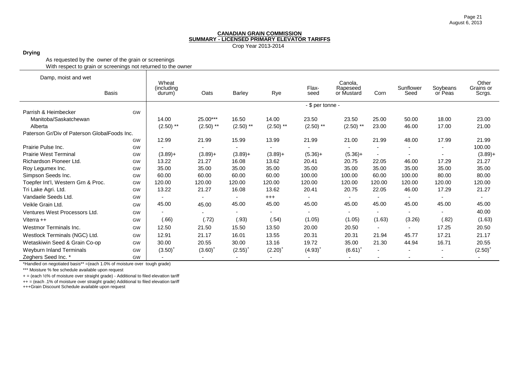Crop Year 2013-2014

#### **Drying**

As requested by the owner of the grain or screenings With respect to grain or screenings not returned to the owner

| Damp, moist and wet                          |       | Wheat                |             |              |                       |                  | Canola,                  |                          |                   |                     | Other               |
|----------------------------------------------|-------|----------------------|-------------|--------------|-----------------------|------------------|--------------------------|--------------------------|-------------------|---------------------|---------------------|
|                                              | Basis | (including<br>durum) | Oats        | Barley       | Rye                   | Flax-<br>seed    | Rapeseed<br>or Mustard   | Corn                     | Sunflower<br>Seed | Soybeans<br>or Peas | Grains or<br>Scrgs. |
|                                              |       |                      |             |              |                       | - \$ per tonne - |                          |                          |                   |                     |                     |
| Parrish & Heimbecker                         | GW    |                      |             |              |                       |                  |                          |                          |                   |                     |                     |
| Manitoba/Saskatchewan                        |       | 14.00                | 25.00***    | 16.50        | 14.00                 | 23.50            | 23.50                    | 25.00                    | 50.00             | 18.00               | 23.00               |
| Alberta                                      |       | $(2.50)$ **          | $(2.50)$ ** | $(2.50)$ **  | $(2.50)$ **           | $(2.50)$ **      | $(2.50)$ **              | 23.00                    | 46.00             | 17.00               | 21.00               |
| Paterson Gr/Div of Paterson GlobalFoods Inc. |       |                      |             |              |                       |                  |                          |                          |                   |                     |                     |
|                                              | GW    | 12.99                | 21.99       | 15.99        | 13.99                 | 21.99            | 21.00                    | 21.99                    | 48.00             | 17.99               | 21.99               |
| Prairie Pulse Inc.                           | GW    |                      |             |              |                       |                  |                          |                          |                   | -                   | 100.00              |
| <b>Prairie West Terminal</b>                 | GW    | $(3.89) +$           | $(3.89) +$  | $(3.89) +$   | $(3.89) +$            | $(5.36) +$       | $(5.36)+$                | $\overline{\phantom{a}}$ |                   |                     | $(3.89) +$          |
| Richardson Pioneer Ltd.                      | GW    | 13.22                | 21.27       | 16.08        | 13.62                 | 20.41            | 20.75                    | 22.05                    | 46.00             | 17.29               | 21.27               |
| Roy Legumex Inc.                             | GW    | 35.00                | 35.00       | 35.00        | 35.00                 | 35.00            | 35.00                    | 35.00                    | 35.00             | 35.00               | 35.00               |
| Simpson Seeds Inc.                           | GW    | 60.00                | 60.00       | 60.00        | 60.00                 | 100.00           | 100.00                   | 60.00                    | 100.00            | 80.00               | 80.00               |
| Toepfer Int'l, Western Grn & Proc.           | GW    | 120.00               | 120.00      | 120.00       | 120.00                | 120.00           | 120.00                   | 120.00                   | 120.00            | 120.00              | 120.00              |
| Tri Lake Agri. Ltd.                          | GW    | 13.22                | 21.27       | 16.08        | 13.62                 | 20.41            | 20.75                    | 22.05                    | 46.00             | 17.29               | 21.27               |
| Vandaele Seeds Ltd.                          | GW    |                      |             |              | $^{+++}$              |                  | $\overline{\phantom{a}}$ |                          |                   |                     |                     |
| Veikle Grain Ltd.                            | GW    | 45.00                | 45.00       | 45.00        | 45.00                 | 45.00            | 45.00                    | 45.00                    | 45.00             | 45.00               | 45.00               |
| Ventures West Processors Ltd.                | GW    |                      |             |              |                       |                  | $\overline{\phantom{0}}$ |                          |                   |                     | 40.00               |
| Viterra ++                                   | GW    | (0.66)               | (.72)       | (.93)        | (.54)                 | (1.05)           | (1.05)                   | (1.63)                   | (3.26)            | (.82)               | (1.63)              |
| Westmor Terminals Inc.                       | GW    | 12.50                | 21.50       | 15.50        | 13.50                 | 20.00            | 20.50                    |                          |                   | 17.25               | 20.50               |
| Westlock Terminals (NGC) Ltd.                | GW    | 12.91                | 21.17       | 16.01        | 13.55                 | 20.31            | 20.31                    | 21.94                    | 45.77             | 17.21               | 21.17               |
| Wetaskiwin Seed & Grain Co-op                | GW    | 30.00                | 20.55       | 30.00        | 13.16                 | 19.72            | 35.00                    | 21.30                    | 44.94             | 16.71               | 20.55               |
| <b>Weyburn Inland Terminals</b>              | GW    | $(3.50)^+$           | $(3.60)^+$  | $(2.55)^{+}$ | $(2.20)$ <sup>+</sup> | $(4.93)^{+}$     | $(6.61)^+$               | $\blacksquare$           |                   |                     | $(2.50)^+$          |
| Zeghers Seed Inc. *                          | GW    |                      |             |              |                       |                  | $\overline{\phantom{a}}$ |                          |                   |                     |                     |

\*Handled on negotiated basis\*\* =(each 1.0% of moisture over tough grade)

\*\*\* Moisture % fee schedule available upon request

+ = (each ½% of moisture over straight grade) - Additional to filed elevation tariff

++ = (each .1% of moisture over straight grade) Additional to filed elevation tariff

+++Grain Discount Schedule available upon request